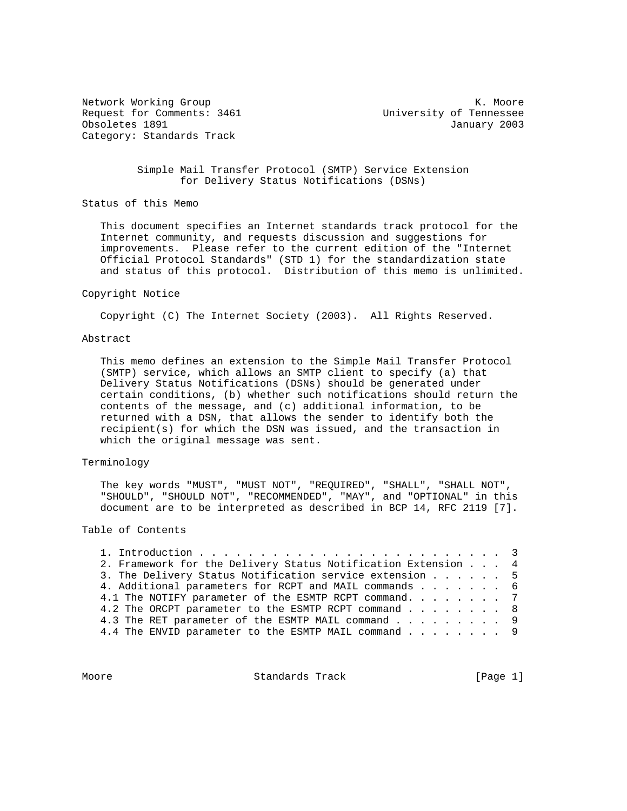Request for Comments: 3461 University of Tennessee Obsoletes 1891 January 2003 Category: Standards Track

Network Working Group Network Working Group Network Network Network Network Network Network Network Network Ne

### Simple Mail Transfer Protocol (SMTP) Service Extension for Delivery Status Notifications (DSNs)

Status of this Memo

 This document specifies an Internet standards track protocol for the Internet community, and requests discussion and suggestions for improvements. Please refer to the current edition of the "Internet Official Protocol Standards" (STD 1) for the standardization state and status of this protocol. Distribution of this memo is unlimited.

#### Copyright Notice

Copyright (C) The Internet Society (2003). All Rights Reserved.

#### Abstract

 This memo defines an extension to the Simple Mail Transfer Protocol (SMTP) service, which allows an SMTP client to specify (a) that Delivery Status Notifications (DSNs) should be generated under certain conditions, (b) whether such notifications should return the contents of the message, and (c) additional information, to be returned with a DSN, that allows the sender to identify both the recipient(s) for which the DSN was issued, and the transaction in which the original message was sent.

## Terminology

 The key words "MUST", "MUST NOT", "REQUIRED", "SHALL", "SHALL NOT", "SHOULD", "SHOULD NOT", "RECOMMENDED", "MAY", and "OPTIONAL" in this document are to be interpreted as described in BCP 14, RFC 2119 [7].

### Table of Contents

| 2. Framework for the Delivery Status Notification Extension 4 |  |  |
|---------------------------------------------------------------|--|--|
| 3. The Delivery Status Notification service extension 5       |  |  |
| 4. Additional parameters for RCPT and MAIL commands 6         |  |  |
| 4.1 The NOTIFY parameter of the ESMTP RCPT command. 7         |  |  |
| 4.2 The ORCPT parameter to the ESMTP RCPT command 8           |  |  |
| 4.3 The RET parameter of the ESMTP MAIL command 9             |  |  |
| 4.4 The ENVID parameter to the ESMTP MAIL command 9           |  |  |

Moore **Standards Track** [Page 1]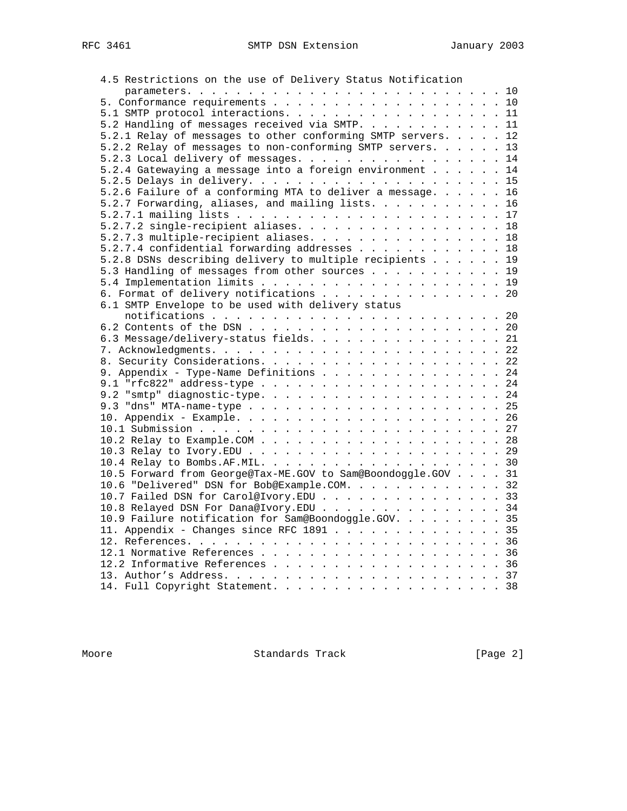| 5.1 SMTP protocol interactions. 11<br>5.2 Handling of messages received via SMTP. 11<br>5.2.1 Relay of messages to other conforming SMTP servers. 12<br>5.2.2 Relay of messages to non-conforming SMTP servers. 13<br>5.2.3 Local delivery of messages. 14<br>5.2.4 Gatewaying a message into a foreign environment 14<br>5.2.6 Failure of a conforming MTA to deliver a message. 16<br>5.2.7 Forwarding, aliases, and mailing lists. 16<br>5.2.7.2 single-recipient aliases. 18<br>5.2.7.3 multiple-recipient aliases. 18<br>5.2.7.4 confidential forwarding addresses 18<br>5.2.8 DSNs describing delivery to multiple recipients 19<br>5.3 Handling of messages from other sources 19<br>6. Format of delivery notifications 20<br>6.1 SMTP Envelope to be used with delivery status<br>6.3 Message/delivery-status fields. 21<br>9. Appendix - Type-Name Definitions 24<br>10.5 Forward from George@Tax-ME.GOV to Sam@Boondoggle.GOV 31<br>10.6 "Delivered" DSN for Bob@Example.COM. 32<br>10.7 Failed DSN for Carol@Ivory.EDU 33<br>10.8 Relayed DSN For Dana@Ivory.EDU 34<br>10.9 Failure notification for Sam@Boondoggle.GOV. 35<br>11. Appendix - Changes since RFC 1891 35 | 4.5 Restrictions on the use of Delivery Status Notification |  |  |
|-------------------------------------------------------------------------------------------------------------------------------------------------------------------------------------------------------------------------------------------------------------------------------------------------------------------------------------------------------------------------------------------------------------------------------------------------------------------------------------------------------------------------------------------------------------------------------------------------------------------------------------------------------------------------------------------------------------------------------------------------------------------------------------------------------------------------------------------------------------------------------------------------------------------------------------------------------------------------------------------------------------------------------------------------------------------------------------------------------------------------------------------------------------------------------------|-------------------------------------------------------------|--|--|
|                                                                                                                                                                                                                                                                                                                                                                                                                                                                                                                                                                                                                                                                                                                                                                                                                                                                                                                                                                                                                                                                                                                                                                                     |                                                             |  |  |
|                                                                                                                                                                                                                                                                                                                                                                                                                                                                                                                                                                                                                                                                                                                                                                                                                                                                                                                                                                                                                                                                                                                                                                                     |                                                             |  |  |
|                                                                                                                                                                                                                                                                                                                                                                                                                                                                                                                                                                                                                                                                                                                                                                                                                                                                                                                                                                                                                                                                                                                                                                                     |                                                             |  |  |
|                                                                                                                                                                                                                                                                                                                                                                                                                                                                                                                                                                                                                                                                                                                                                                                                                                                                                                                                                                                                                                                                                                                                                                                     |                                                             |  |  |
|                                                                                                                                                                                                                                                                                                                                                                                                                                                                                                                                                                                                                                                                                                                                                                                                                                                                                                                                                                                                                                                                                                                                                                                     |                                                             |  |  |
|                                                                                                                                                                                                                                                                                                                                                                                                                                                                                                                                                                                                                                                                                                                                                                                                                                                                                                                                                                                                                                                                                                                                                                                     |                                                             |  |  |
|                                                                                                                                                                                                                                                                                                                                                                                                                                                                                                                                                                                                                                                                                                                                                                                                                                                                                                                                                                                                                                                                                                                                                                                     |                                                             |  |  |
|                                                                                                                                                                                                                                                                                                                                                                                                                                                                                                                                                                                                                                                                                                                                                                                                                                                                                                                                                                                                                                                                                                                                                                                     |                                                             |  |  |
|                                                                                                                                                                                                                                                                                                                                                                                                                                                                                                                                                                                                                                                                                                                                                                                                                                                                                                                                                                                                                                                                                                                                                                                     |                                                             |  |  |
|                                                                                                                                                                                                                                                                                                                                                                                                                                                                                                                                                                                                                                                                                                                                                                                                                                                                                                                                                                                                                                                                                                                                                                                     |                                                             |  |  |
|                                                                                                                                                                                                                                                                                                                                                                                                                                                                                                                                                                                                                                                                                                                                                                                                                                                                                                                                                                                                                                                                                                                                                                                     |                                                             |  |  |
|                                                                                                                                                                                                                                                                                                                                                                                                                                                                                                                                                                                                                                                                                                                                                                                                                                                                                                                                                                                                                                                                                                                                                                                     |                                                             |  |  |
|                                                                                                                                                                                                                                                                                                                                                                                                                                                                                                                                                                                                                                                                                                                                                                                                                                                                                                                                                                                                                                                                                                                                                                                     |                                                             |  |  |
|                                                                                                                                                                                                                                                                                                                                                                                                                                                                                                                                                                                                                                                                                                                                                                                                                                                                                                                                                                                                                                                                                                                                                                                     |                                                             |  |  |
|                                                                                                                                                                                                                                                                                                                                                                                                                                                                                                                                                                                                                                                                                                                                                                                                                                                                                                                                                                                                                                                                                                                                                                                     |                                                             |  |  |
|                                                                                                                                                                                                                                                                                                                                                                                                                                                                                                                                                                                                                                                                                                                                                                                                                                                                                                                                                                                                                                                                                                                                                                                     |                                                             |  |  |
|                                                                                                                                                                                                                                                                                                                                                                                                                                                                                                                                                                                                                                                                                                                                                                                                                                                                                                                                                                                                                                                                                                                                                                                     |                                                             |  |  |
|                                                                                                                                                                                                                                                                                                                                                                                                                                                                                                                                                                                                                                                                                                                                                                                                                                                                                                                                                                                                                                                                                                                                                                                     |                                                             |  |  |
|                                                                                                                                                                                                                                                                                                                                                                                                                                                                                                                                                                                                                                                                                                                                                                                                                                                                                                                                                                                                                                                                                                                                                                                     |                                                             |  |  |
|                                                                                                                                                                                                                                                                                                                                                                                                                                                                                                                                                                                                                                                                                                                                                                                                                                                                                                                                                                                                                                                                                                                                                                                     |                                                             |  |  |
|                                                                                                                                                                                                                                                                                                                                                                                                                                                                                                                                                                                                                                                                                                                                                                                                                                                                                                                                                                                                                                                                                                                                                                                     |                                                             |  |  |
|                                                                                                                                                                                                                                                                                                                                                                                                                                                                                                                                                                                                                                                                                                                                                                                                                                                                                                                                                                                                                                                                                                                                                                                     |                                                             |  |  |
|                                                                                                                                                                                                                                                                                                                                                                                                                                                                                                                                                                                                                                                                                                                                                                                                                                                                                                                                                                                                                                                                                                                                                                                     |                                                             |  |  |
|                                                                                                                                                                                                                                                                                                                                                                                                                                                                                                                                                                                                                                                                                                                                                                                                                                                                                                                                                                                                                                                                                                                                                                                     |                                                             |  |  |
|                                                                                                                                                                                                                                                                                                                                                                                                                                                                                                                                                                                                                                                                                                                                                                                                                                                                                                                                                                                                                                                                                                                                                                                     |                                                             |  |  |
|                                                                                                                                                                                                                                                                                                                                                                                                                                                                                                                                                                                                                                                                                                                                                                                                                                                                                                                                                                                                                                                                                                                                                                                     |                                                             |  |  |
|                                                                                                                                                                                                                                                                                                                                                                                                                                                                                                                                                                                                                                                                                                                                                                                                                                                                                                                                                                                                                                                                                                                                                                                     |                                                             |  |  |
|                                                                                                                                                                                                                                                                                                                                                                                                                                                                                                                                                                                                                                                                                                                                                                                                                                                                                                                                                                                                                                                                                                                                                                                     |                                                             |  |  |
|                                                                                                                                                                                                                                                                                                                                                                                                                                                                                                                                                                                                                                                                                                                                                                                                                                                                                                                                                                                                                                                                                                                                                                                     |                                                             |  |  |
|                                                                                                                                                                                                                                                                                                                                                                                                                                                                                                                                                                                                                                                                                                                                                                                                                                                                                                                                                                                                                                                                                                                                                                                     |                                                             |  |  |
|                                                                                                                                                                                                                                                                                                                                                                                                                                                                                                                                                                                                                                                                                                                                                                                                                                                                                                                                                                                                                                                                                                                                                                                     |                                                             |  |  |
|                                                                                                                                                                                                                                                                                                                                                                                                                                                                                                                                                                                                                                                                                                                                                                                                                                                                                                                                                                                                                                                                                                                                                                                     |                                                             |  |  |
|                                                                                                                                                                                                                                                                                                                                                                                                                                                                                                                                                                                                                                                                                                                                                                                                                                                                                                                                                                                                                                                                                                                                                                                     |                                                             |  |  |
|                                                                                                                                                                                                                                                                                                                                                                                                                                                                                                                                                                                                                                                                                                                                                                                                                                                                                                                                                                                                                                                                                                                                                                                     |                                                             |  |  |
|                                                                                                                                                                                                                                                                                                                                                                                                                                                                                                                                                                                                                                                                                                                                                                                                                                                                                                                                                                                                                                                                                                                                                                                     |                                                             |  |  |
|                                                                                                                                                                                                                                                                                                                                                                                                                                                                                                                                                                                                                                                                                                                                                                                                                                                                                                                                                                                                                                                                                                                                                                                     |                                                             |  |  |
|                                                                                                                                                                                                                                                                                                                                                                                                                                                                                                                                                                                                                                                                                                                                                                                                                                                                                                                                                                                                                                                                                                                                                                                     |                                                             |  |  |
|                                                                                                                                                                                                                                                                                                                                                                                                                                                                                                                                                                                                                                                                                                                                                                                                                                                                                                                                                                                                                                                                                                                                                                                     |                                                             |  |  |
|                                                                                                                                                                                                                                                                                                                                                                                                                                                                                                                                                                                                                                                                                                                                                                                                                                                                                                                                                                                                                                                                                                                                                                                     |                                                             |  |  |
|                                                                                                                                                                                                                                                                                                                                                                                                                                                                                                                                                                                                                                                                                                                                                                                                                                                                                                                                                                                                                                                                                                                                                                                     |                                                             |  |  |
|                                                                                                                                                                                                                                                                                                                                                                                                                                                                                                                                                                                                                                                                                                                                                                                                                                                                                                                                                                                                                                                                                                                                                                                     |                                                             |  |  |
|                                                                                                                                                                                                                                                                                                                                                                                                                                                                                                                                                                                                                                                                                                                                                                                                                                                                                                                                                                                                                                                                                                                                                                                     |                                                             |  |  |
|                                                                                                                                                                                                                                                                                                                                                                                                                                                                                                                                                                                                                                                                                                                                                                                                                                                                                                                                                                                                                                                                                                                                                                                     |                                                             |  |  |
|                                                                                                                                                                                                                                                                                                                                                                                                                                                                                                                                                                                                                                                                                                                                                                                                                                                                                                                                                                                                                                                                                                                                                                                     |                                                             |  |  |
|                                                                                                                                                                                                                                                                                                                                                                                                                                                                                                                                                                                                                                                                                                                                                                                                                                                                                                                                                                                                                                                                                                                                                                                     |                                                             |  |  |
|                                                                                                                                                                                                                                                                                                                                                                                                                                                                                                                                                                                                                                                                                                                                                                                                                                                                                                                                                                                                                                                                                                                                                                                     |                                                             |  |  |
|                                                                                                                                                                                                                                                                                                                                                                                                                                                                                                                                                                                                                                                                                                                                                                                                                                                                                                                                                                                                                                                                                                                                                                                     | 14. Full Copyright Statement. 38                            |  |  |

Moore **Standards Track** [Page 2]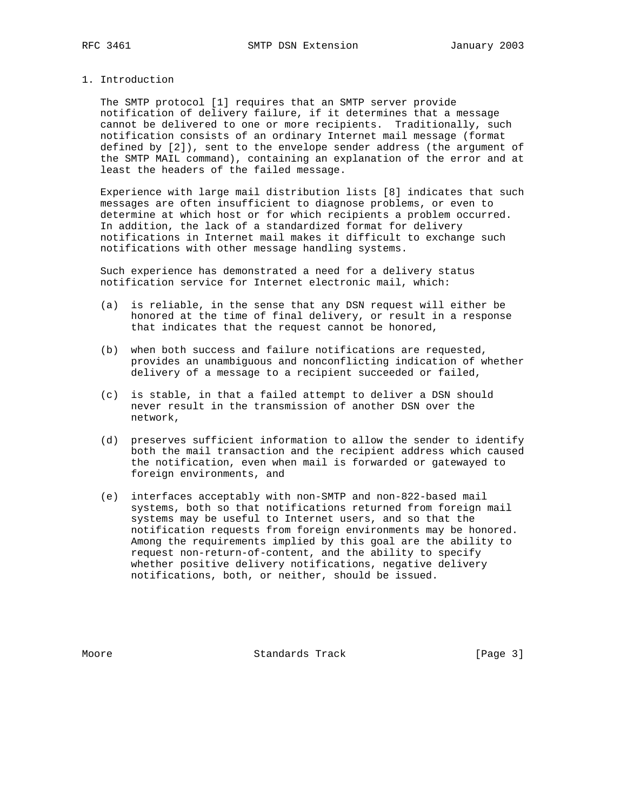#### 1. Introduction

 The SMTP protocol [1] requires that an SMTP server provide notification of delivery failure, if it determines that a message cannot be delivered to one or more recipients. Traditionally, such notification consists of an ordinary Internet mail message (format defined by [2]), sent to the envelope sender address (the argument of the SMTP MAIL command), containing an explanation of the error and at least the headers of the failed message.

 Experience with large mail distribution lists [8] indicates that such messages are often insufficient to diagnose problems, or even to determine at which host or for which recipients a problem occurred. In addition, the lack of a standardized format for delivery notifications in Internet mail makes it difficult to exchange such notifications with other message handling systems.

 Such experience has demonstrated a need for a delivery status notification service for Internet electronic mail, which:

- (a) is reliable, in the sense that any DSN request will either be honored at the time of final delivery, or result in a response that indicates that the request cannot be honored,
- (b) when both success and failure notifications are requested, provides an unambiguous and nonconflicting indication of whether delivery of a message to a recipient succeeded or failed,
- (c) is stable, in that a failed attempt to deliver a DSN should never result in the transmission of another DSN over the network,
- (d) preserves sufficient information to allow the sender to identify both the mail transaction and the recipient address which caused the notification, even when mail is forwarded or gatewayed to foreign environments, and
- (e) interfaces acceptably with non-SMTP and non-822-based mail systems, both so that notifications returned from foreign mail systems may be useful to Internet users, and so that the notification requests from foreign environments may be honored. Among the requirements implied by this goal are the ability to request non-return-of-content, and the ability to specify whether positive delivery notifications, negative delivery notifications, both, or neither, should be issued.

Moore **Standards Track** [Page 3]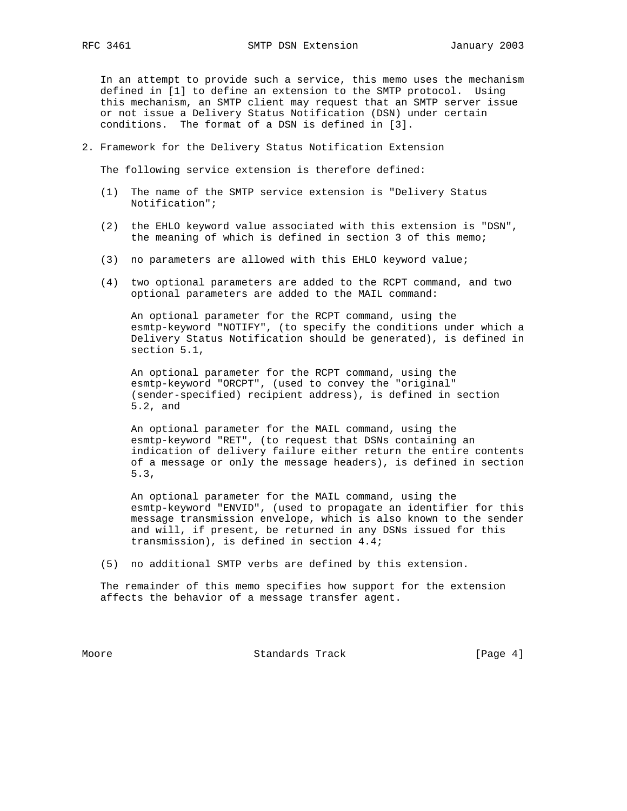In an attempt to provide such a service, this memo uses the mechanism defined in [1] to define an extension to the SMTP protocol. Using this mechanism, an SMTP client may request that an SMTP server issue or not issue a Delivery Status Notification (DSN) under certain conditions. The format of a DSN is defined in [3].

2. Framework for the Delivery Status Notification Extension

The following service extension is therefore defined:

- (1) The name of the SMTP service extension is "Delivery Status Notification";
- (2) the EHLO keyword value associated with this extension is "DSN", the meaning of which is defined in section 3 of this memo;
- (3) no parameters are allowed with this EHLO keyword value;
- (4) two optional parameters are added to the RCPT command, and two optional parameters are added to the MAIL command:

 An optional parameter for the RCPT command, using the esmtp-keyword "NOTIFY", (to specify the conditions under which a Delivery Status Notification should be generated), is defined in section 5.1,

 An optional parameter for the RCPT command, using the esmtp-keyword "ORCPT", (used to convey the "original" (sender-specified) recipient address), is defined in section 5.2, and

 An optional parameter for the MAIL command, using the esmtp-keyword "RET", (to request that DSNs containing an indication of delivery failure either return the entire contents of a message or only the message headers), is defined in section 5.3,

 An optional parameter for the MAIL command, using the esmtp-keyword "ENVID", (used to propagate an identifier for this message transmission envelope, which is also known to the sender and will, if present, be returned in any DSNs issued for this transmission), is defined in section 4.4;

(5) no additional SMTP verbs are defined by this extension.

 The remainder of this memo specifies how support for the extension affects the behavior of a message transfer agent.

Moore **Standards Track** [Page 4]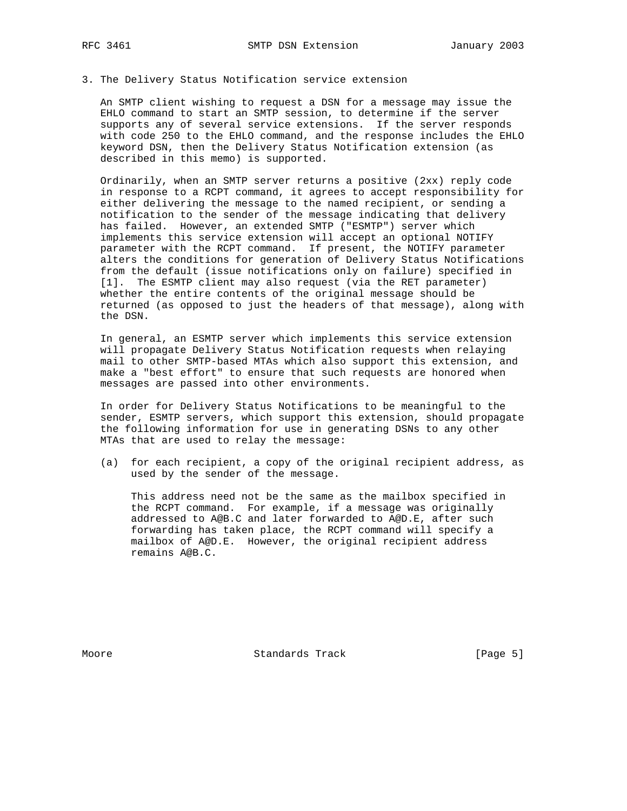#### 3. The Delivery Status Notification service extension

 An SMTP client wishing to request a DSN for a message may issue the EHLO command to start an SMTP session, to determine if the server supports any of several service extensions. If the server responds with code 250 to the EHLO command, and the response includes the EHLO keyword DSN, then the Delivery Status Notification extension (as described in this memo) is supported.

 Ordinarily, when an SMTP server returns a positive (2xx) reply code in response to a RCPT command, it agrees to accept responsibility for either delivering the message to the named recipient, or sending a notification to the sender of the message indicating that delivery has failed. However, an extended SMTP ("ESMTP") server which implements this service extension will accept an optional NOTIFY parameter with the RCPT command. If present, the NOTIFY parameter alters the conditions for generation of Delivery Status Notifications from the default (issue notifications only on failure) specified in [1]. The ESMTP client may also request (via the RET parameter) whether the entire contents of the original message should be returned (as opposed to just the headers of that message), along with the DSN.

 In general, an ESMTP server which implements this service extension will propagate Delivery Status Notification requests when relaying mail to other SMTP-based MTAs which also support this extension, and make a "best effort" to ensure that such requests are honored when messages are passed into other environments.

 In order for Delivery Status Notifications to be meaningful to the sender, ESMTP servers, which support this extension, should propagate the following information for use in generating DSNs to any other MTAs that are used to relay the message:

 (a) for each recipient, a copy of the original recipient address, as used by the sender of the message.

 This address need not be the same as the mailbox specified in the RCPT command. For example, if a message was originally addressed to A@B.C and later forwarded to A@D.E, after such forwarding has taken place, the RCPT command will specify a mailbox of A@D.E. However, the original recipient address remains A@B.C.

Moore **Standards Track** [Page 5]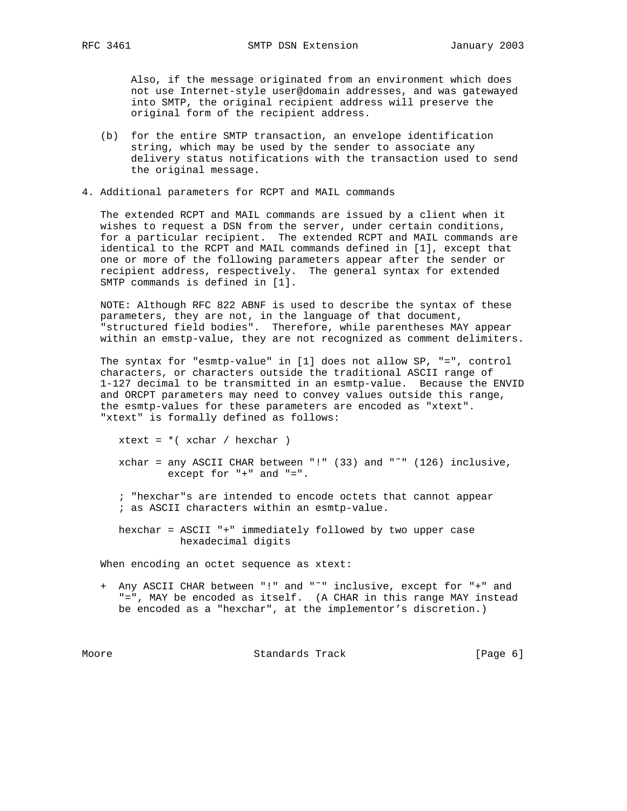Also, if the message originated from an environment which does not use Internet-style user@domain addresses, and was gatewayed into SMTP, the original recipient address will preserve the original form of the recipient address.

- (b) for the entire SMTP transaction, an envelope identification string, which may be used by the sender to associate any delivery status notifications with the transaction used to send the original message.
- 4. Additional parameters for RCPT and MAIL commands

 The extended RCPT and MAIL commands are issued by a client when it wishes to request a DSN from the server, under certain conditions, for a particular recipient. The extended RCPT and MAIL commands are identical to the RCPT and MAIL commands defined in [1], except that one or more of the following parameters appear after the sender or recipient address, respectively. The general syntax for extended SMTP commands is defined in [1].

 NOTE: Although RFC 822 ABNF is used to describe the syntax of these parameters, they are not, in the language of that document, "structured field bodies". Therefore, while parentheses MAY appear within an emstp-value, they are not recognized as comment delimiters.

 The syntax for "esmtp-value" in [1] does not allow SP, "=", control characters, or characters outside the traditional ASCII range of 1-127 decimal to be transmitted in an esmtp-value. Because the ENVID and ORCPT parameters may need to convey values outside this range, the esmtp-values for these parameters are encoded as "xtext". "xtext" is formally defined as follows:

 xchar = any ASCII CHAR between "!" (33) and "˜" (126) inclusive, except for "+" and "=".

- ; "hexchar"s are intended to encode octets that cannot appear ; as ASCII characters within an esmtp-value.
- hexchar = ASCII "+" immediately followed by two upper case hexadecimal digits

When encoding an octet sequence as xtext:

xtext =  $*( \times \text{char} / \text{hexchar} )$ 

 + Any ASCII CHAR between "!" and "˜" inclusive, except for "+" and "=", MAY be encoded as itself. (A CHAR in this range MAY instead be encoded as a "hexchar", at the implementor's discretion.)

Moore Standards Track [Page 6]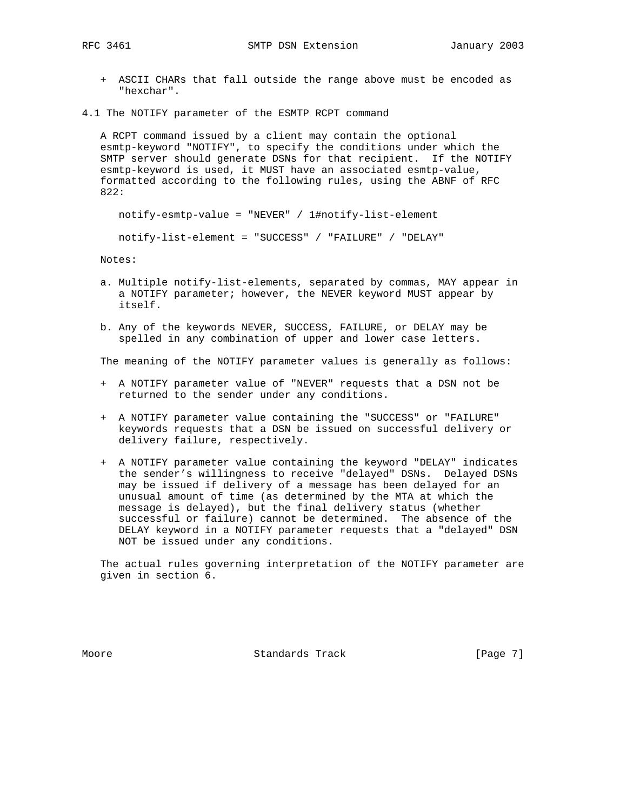- + ASCII CHARs that fall outside the range above must be encoded as "hexchar".
- 4.1 The NOTIFY parameter of the ESMTP RCPT command

 A RCPT command issued by a client may contain the optional esmtp-keyword "NOTIFY", to specify the conditions under which the SMTP server should generate DSNs for that recipient. If the NOTIFY esmtp-keyword is used, it MUST have an associated esmtp-value, formatted according to the following rules, using the ABNF of RFC 822:

notify-esmtp-value = "NEVER" / 1#notify-list-element

notify-list-element = "SUCCESS" / "FAILURE" / "DELAY"

Notes:

- a. Multiple notify-list-elements, separated by commas, MAY appear in a NOTIFY parameter; however, the NEVER keyword MUST appear by itself.
- b. Any of the keywords NEVER, SUCCESS, FAILURE, or DELAY may be spelled in any combination of upper and lower case letters.

The meaning of the NOTIFY parameter values is generally as follows:

- + A NOTIFY parameter value of "NEVER" requests that a DSN not be returned to the sender under any conditions.
- + A NOTIFY parameter value containing the "SUCCESS" or "FAILURE" keywords requests that a DSN be issued on successful delivery or delivery failure, respectively.
- + A NOTIFY parameter value containing the keyword "DELAY" indicates the sender's willingness to receive "delayed" DSNs. Delayed DSNs may be issued if delivery of a message has been delayed for an unusual amount of time (as determined by the MTA at which the message is delayed), but the final delivery status (whether successful or failure) cannot be determined. The absence of the DELAY keyword in a NOTIFY parameter requests that a "delayed" DSN NOT be issued under any conditions.

 The actual rules governing interpretation of the NOTIFY parameter are given in section 6.

Moore **Standards Track** [Page 7]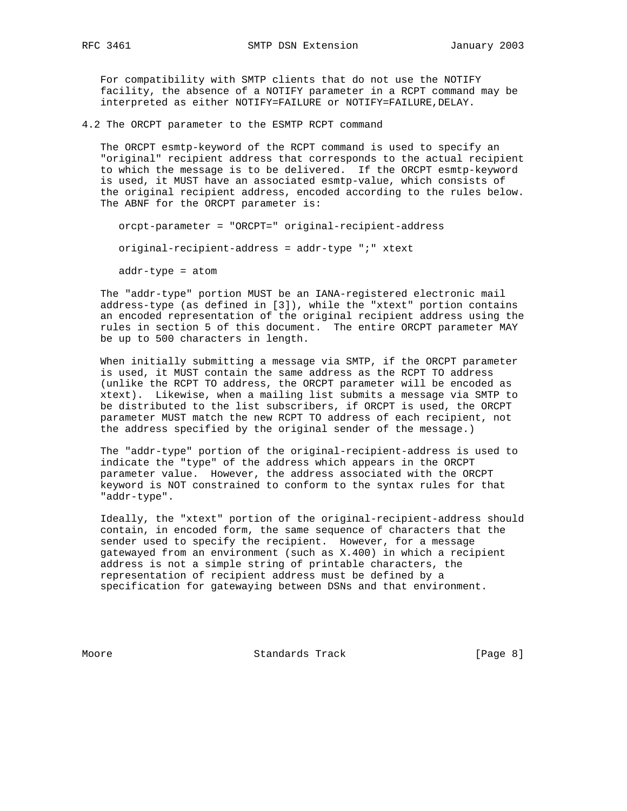For compatibility with SMTP clients that do not use the NOTIFY facility, the absence of a NOTIFY parameter in a RCPT command may be interpreted as either NOTIFY=FAILURE or NOTIFY=FAILURE,DELAY.

4.2 The ORCPT parameter to the ESMTP RCPT command

 The ORCPT esmtp-keyword of the RCPT command is used to specify an "original" recipient address that corresponds to the actual recipient to which the message is to be delivered. If the ORCPT esmtp-keyword is used, it MUST have an associated esmtp-value, which consists of the original recipient address, encoded according to the rules below. The ABNF for the ORCPT parameter is:

orcpt-parameter = "ORCPT=" original-recipient-address

original-recipient-address = addr-type ";" xtext

addr-type = atom

 The "addr-type" portion MUST be an IANA-registered electronic mail address-type (as defined in [3]), while the "xtext" portion contains an encoded representation of the original recipient address using the rules in section 5 of this document. The entire ORCPT parameter MAY be up to 500 characters in length.

 When initially submitting a message via SMTP, if the ORCPT parameter is used, it MUST contain the same address as the RCPT TO address (unlike the RCPT TO address, the ORCPT parameter will be encoded as xtext). Likewise, when a mailing list submits a message via SMTP to be distributed to the list subscribers, if ORCPT is used, the ORCPT parameter MUST match the new RCPT TO address of each recipient, not the address specified by the original sender of the message.)

 The "addr-type" portion of the original-recipient-address is used to indicate the "type" of the address which appears in the ORCPT parameter value. However, the address associated with the ORCPT keyword is NOT constrained to conform to the syntax rules for that "addr-type".

 Ideally, the "xtext" portion of the original-recipient-address should contain, in encoded form, the same sequence of characters that the sender used to specify the recipient. However, for a message gatewayed from an environment (such as X.400) in which a recipient address is not a simple string of printable characters, the representation of recipient address must be defined by a specification for gatewaying between DSNs and that environment.

Moore Standards Track [Page 8]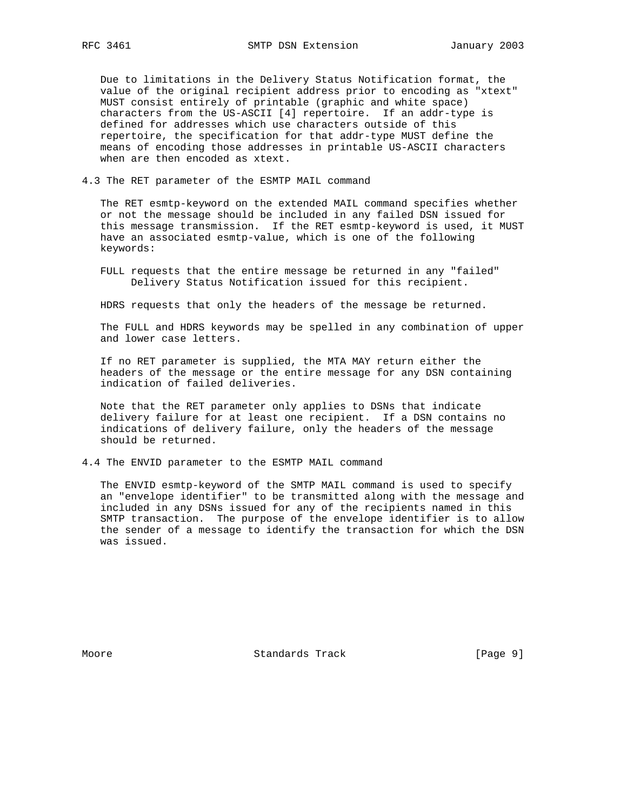Due to limitations in the Delivery Status Notification format, the value of the original recipient address prior to encoding as "xtext" MUST consist entirely of printable (graphic and white space) characters from the US-ASCII [4] repertoire. If an addr-type is defined for addresses which use characters outside of this repertoire, the specification for that addr-type MUST define the means of encoding those addresses in printable US-ASCII characters when are then encoded as xtext.

4.3 The RET parameter of the ESMTP MAIL command

 The RET esmtp-keyword on the extended MAIL command specifies whether or not the message should be included in any failed DSN issued for this message transmission. If the RET esmtp-keyword is used, it MUST have an associated esmtp-value, which is one of the following keywords:

 FULL requests that the entire message be returned in any "failed" Delivery Status Notification issued for this recipient.

HDRS requests that only the headers of the message be returned.

 The FULL and HDRS keywords may be spelled in any combination of upper and lower case letters.

 If no RET parameter is supplied, the MTA MAY return either the headers of the message or the entire message for any DSN containing indication of failed deliveries.

 Note that the RET parameter only applies to DSNs that indicate delivery failure for at least one recipient. If a DSN contains no indications of delivery failure, only the headers of the message should be returned.

4.4 The ENVID parameter to the ESMTP MAIL command

 The ENVID esmtp-keyword of the SMTP MAIL command is used to specify an "envelope identifier" to be transmitted along with the message and included in any DSNs issued for any of the recipients named in this SMTP transaction. The purpose of the envelope identifier is to allow the sender of a message to identify the transaction for which the DSN was issued.

Moore **Standards Track** [Page 9]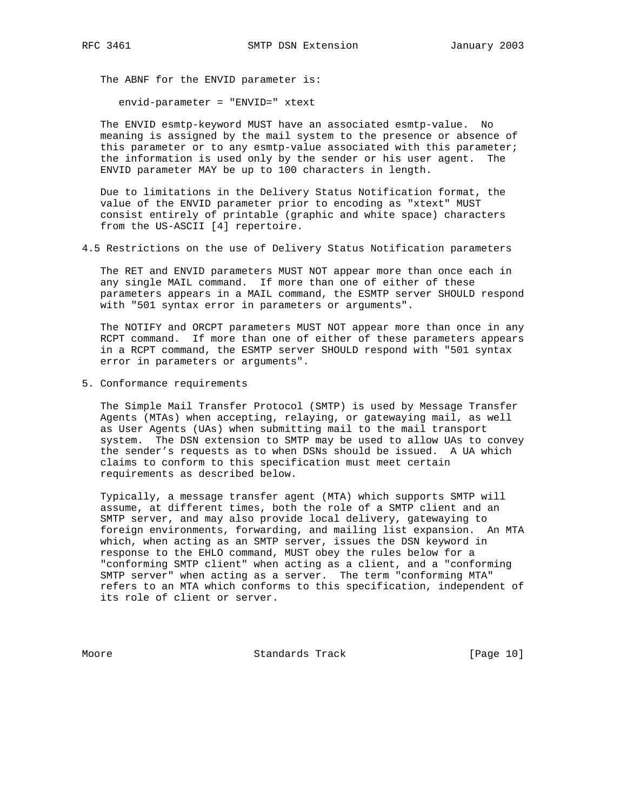The ABNF for the ENVID parameter is:

envid-parameter = "ENVID=" xtext

 The ENVID esmtp-keyword MUST have an associated esmtp-value. No meaning is assigned by the mail system to the presence or absence of this parameter or to any esmtp-value associated with this parameter; the information is used only by the sender or his user agent. The ENVID parameter MAY be up to 100 characters in length.

 Due to limitations in the Delivery Status Notification format, the value of the ENVID parameter prior to encoding as "xtext" MUST consist entirely of printable (graphic and white space) characters from the US-ASCII [4] repertoire.

4.5 Restrictions on the use of Delivery Status Notification parameters

 The RET and ENVID parameters MUST NOT appear more than once each in any single MAIL command. If more than one of either of these parameters appears in a MAIL command, the ESMTP server SHOULD respond with "501 syntax error in parameters or arguments".

 The NOTIFY and ORCPT parameters MUST NOT appear more than once in any RCPT command. If more than one of either of these parameters appears in a RCPT command, the ESMTP server SHOULD respond with "501 syntax error in parameters or arguments".

5. Conformance requirements

 The Simple Mail Transfer Protocol (SMTP) is used by Message Transfer Agents (MTAs) when accepting, relaying, or gatewaying mail, as well as User Agents (UAs) when submitting mail to the mail transport system. The DSN extension to SMTP may be used to allow UAs to convey the sender's requests as to when DSNs should be issued. A UA which claims to conform to this specification must meet certain requirements as described below.

 Typically, a message transfer agent (MTA) which supports SMTP will assume, at different times, both the role of a SMTP client and an SMTP server, and may also provide local delivery, gatewaying to foreign environments, forwarding, and mailing list expansion. An MTA which, when acting as an SMTP server, issues the DSN keyword in response to the EHLO command, MUST obey the rules below for a "conforming SMTP client" when acting as a client, and a "conforming SMTP server" when acting as a server. The term "conforming MTA" refers to an MTA which conforms to this specification, independent of its role of client or server.

Moore Standards Track [Page 10]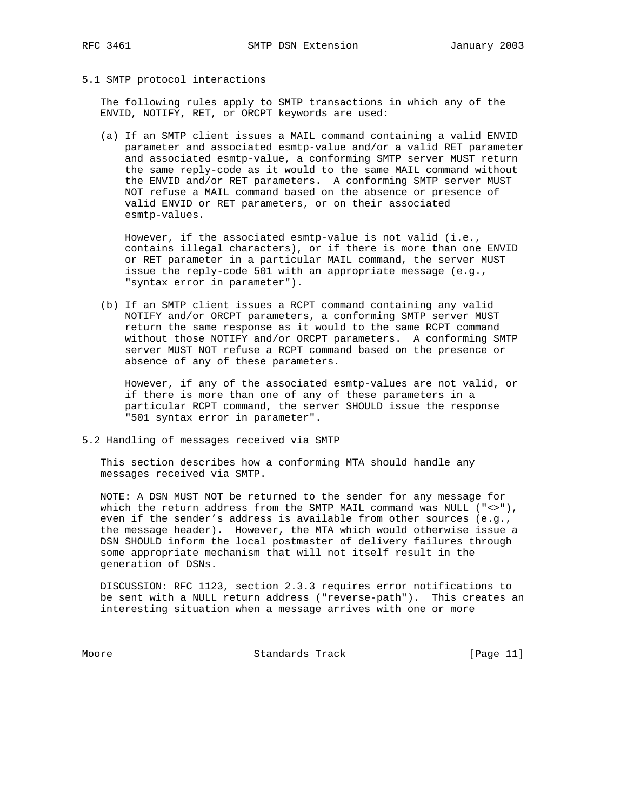#### 5.1 SMTP protocol interactions

 The following rules apply to SMTP transactions in which any of the ENVID, NOTIFY, RET, or ORCPT keywords are used:

 (a) If an SMTP client issues a MAIL command containing a valid ENVID parameter and associated esmtp-value and/or a valid RET parameter and associated esmtp-value, a conforming SMTP server MUST return the same reply-code as it would to the same MAIL command without the ENVID and/or RET parameters. A conforming SMTP server MUST NOT refuse a MAIL command based on the absence or presence of valid ENVID or RET parameters, or on their associated esmtp-values.

 However, if the associated esmtp-value is not valid (i.e., contains illegal characters), or if there is more than one ENVID or RET parameter in a particular MAIL command, the server MUST issue the reply-code 501 with an appropriate message (e.g., "syntax error in parameter").

 (b) If an SMTP client issues a RCPT command containing any valid NOTIFY and/or ORCPT parameters, a conforming SMTP server MUST return the same response as it would to the same RCPT command without those NOTIFY and/or ORCPT parameters. A conforming SMTP server MUST NOT refuse a RCPT command based on the presence or absence of any of these parameters.

 However, if any of the associated esmtp-values are not valid, or if there is more than one of any of these parameters in a particular RCPT command, the server SHOULD issue the response "501 syntax error in parameter".

5.2 Handling of messages received via SMTP

 This section describes how a conforming MTA should handle any messages received via SMTP.

 NOTE: A DSN MUST NOT be returned to the sender for any message for which the return address from the SMTP MAIL command was NULL ("<>"), even if the sender's address is available from other sources (e.g., the message header). However, the MTA which would otherwise issue a DSN SHOULD inform the local postmaster of delivery failures through some appropriate mechanism that will not itself result in the generation of DSNs.

 DISCUSSION: RFC 1123, section 2.3.3 requires error notifications to be sent with a NULL return address ("reverse-path"). This creates an interesting situation when a message arrives with one or more

Moore Standards Track [Page 11]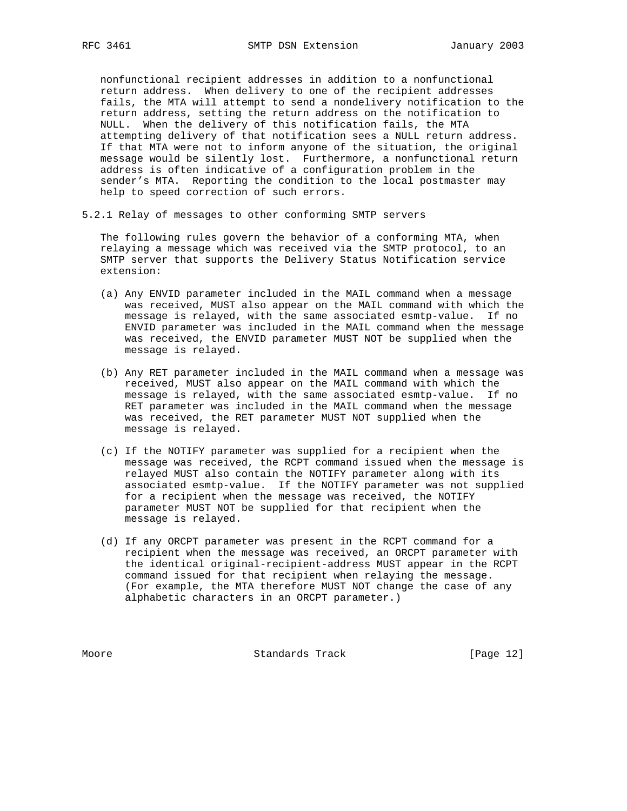nonfunctional recipient addresses in addition to a nonfunctional return address. When delivery to one of the recipient addresses fails, the MTA will attempt to send a nondelivery notification to the return address, setting the return address on the notification to NULL. When the delivery of this notification fails, the MTA attempting delivery of that notification sees a NULL return address. If that MTA were not to inform anyone of the situation, the original message would be silently lost. Furthermore, a nonfunctional return address is often indicative of a configuration problem in the sender's MTA. Reporting the condition to the local postmaster may help to speed correction of such errors.

5.2.1 Relay of messages to other conforming SMTP servers

 The following rules govern the behavior of a conforming MTA, when relaying a message which was received via the SMTP protocol, to an SMTP server that supports the Delivery Status Notification service extension:

- (a) Any ENVID parameter included in the MAIL command when a message was received, MUST also appear on the MAIL command with which the message is relayed, with the same associated esmtp-value. If no ENVID parameter was included in the MAIL command when the message was received, the ENVID parameter MUST NOT be supplied when the message is relayed.
- (b) Any RET parameter included in the MAIL command when a message was received, MUST also appear on the MAIL command with which the message is relayed, with the same associated esmtp-value. If no RET parameter was included in the MAIL command when the message was received, the RET parameter MUST NOT supplied when the message is relayed.
- (c) If the NOTIFY parameter was supplied for a recipient when the message was received, the RCPT command issued when the message is relayed MUST also contain the NOTIFY parameter along with its associated esmtp-value. If the NOTIFY parameter was not supplied for a recipient when the message was received, the NOTIFY parameter MUST NOT be supplied for that recipient when the message is relayed.
- (d) If any ORCPT parameter was present in the RCPT command for a recipient when the message was received, an ORCPT parameter with the identical original-recipient-address MUST appear in the RCPT command issued for that recipient when relaying the message. (For example, the MTA therefore MUST NOT change the case of any alphabetic characters in an ORCPT parameter.)

Moore Standards Track [Page 12]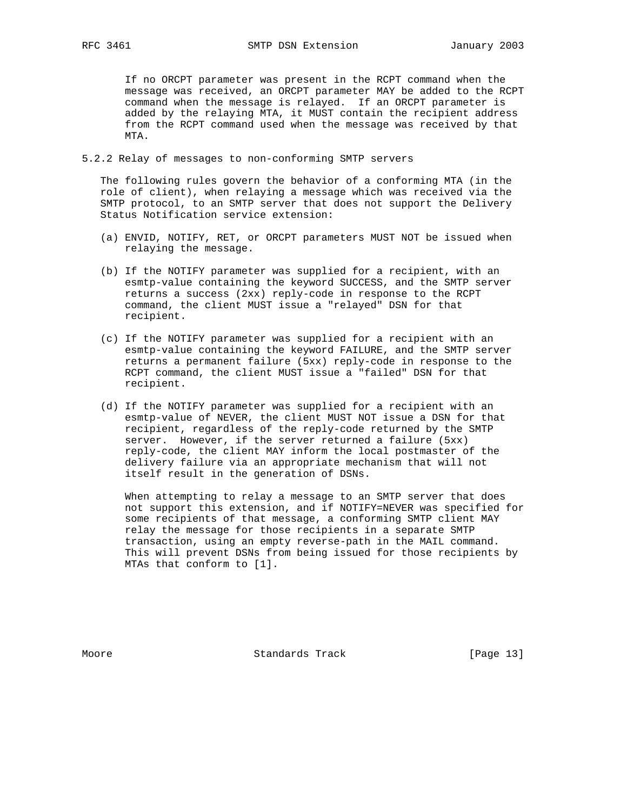If no ORCPT parameter was present in the RCPT command when the message was received, an ORCPT parameter MAY be added to the RCPT command when the message is relayed. If an ORCPT parameter is added by the relaying MTA, it MUST contain the recipient address from the RCPT command used when the message was received by that MTA.

5.2.2 Relay of messages to non-conforming SMTP servers

 The following rules govern the behavior of a conforming MTA (in the role of client), when relaying a message which was received via the SMTP protocol, to an SMTP server that does not support the Delivery Status Notification service extension:

- (a) ENVID, NOTIFY, RET, or ORCPT parameters MUST NOT be issued when relaying the message.
- (b) If the NOTIFY parameter was supplied for a recipient, with an esmtp-value containing the keyword SUCCESS, and the SMTP server returns a success (2xx) reply-code in response to the RCPT command, the client MUST issue a "relayed" DSN for that recipient.
- (c) If the NOTIFY parameter was supplied for a recipient with an esmtp-value containing the keyword FAILURE, and the SMTP server returns a permanent failure (5xx) reply-code in response to the RCPT command, the client MUST issue a "failed" DSN for that recipient.
- (d) If the NOTIFY parameter was supplied for a recipient with an esmtp-value of NEVER, the client MUST NOT issue a DSN for that recipient, regardless of the reply-code returned by the SMTP server. However, if the server returned a failure (5xx) reply-code, the client MAY inform the local postmaster of the delivery failure via an appropriate mechanism that will not itself result in the generation of DSNs.

 When attempting to relay a message to an SMTP server that does not support this extension, and if NOTIFY=NEVER was specified for some recipients of that message, a conforming SMTP client MAY relay the message for those recipients in a separate SMTP transaction, using an empty reverse-path in the MAIL command. This will prevent DSNs from being issued for those recipients by MTAs that conform to [1].

Moore Standards Track [Page 13]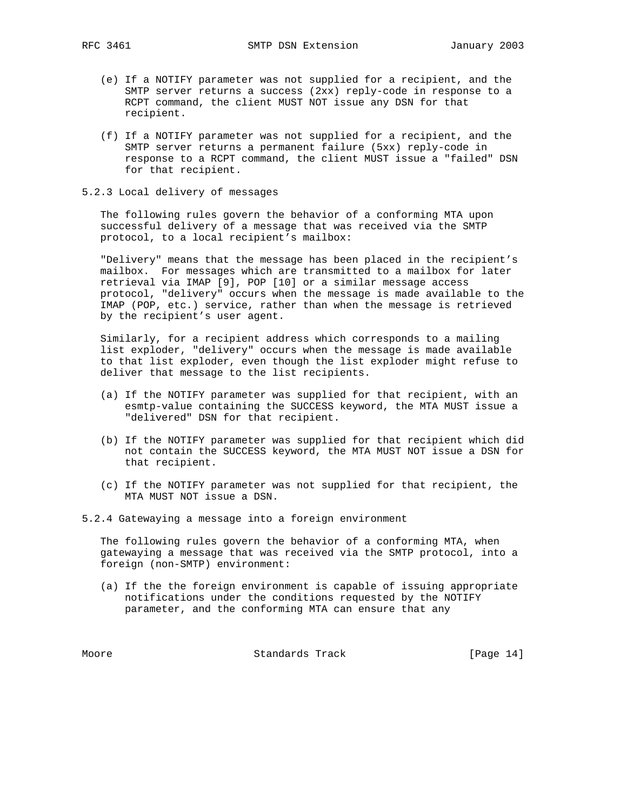- (e) If a NOTIFY parameter was not supplied for a recipient, and the SMTP server returns a success (2xx) reply-code in response to a RCPT command, the client MUST NOT issue any DSN for that recipient.
- (f) If a NOTIFY parameter was not supplied for a recipient, and the SMTP server returns a permanent failure (5xx) reply-code in response to a RCPT command, the client MUST issue a "failed" DSN for that recipient.
- 5.2.3 Local delivery of messages

 The following rules govern the behavior of a conforming MTA upon successful delivery of a message that was received via the SMTP protocol, to a local recipient's mailbox:

 "Delivery" means that the message has been placed in the recipient's mailbox. For messages which are transmitted to a mailbox for later retrieval via IMAP [9], POP [10] or a similar message access protocol, "delivery" occurs when the message is made available to the IMAP (POP, etc.) service, rather than when the message is retrieved by the recipient's user agent.

 Similarly, for a recipient address which corresponds to a mailing list exploder, "delivery" occurs when the message is made available to that list exploder, even though the list exploder might refuse to deliver that message to the list recipients.

- (a) If the NOTIFY parameter was supplied for that recipient, with an esmtp-value containing the SUCCESS keyword, the MTA MUST issue a "delivered" DSN for that recipient.
- (b) If the NOTIFY parameter was supplied for that recipient which did not contain the SUCCESS keyword, the MTA MUST NOT issue a DSN for that recipient.
- (c) If the NOTIFY parameter was not supplied for that recipient, the MTA MUST NOT issue a DSN.

5.2.4 Gatewaying a message into a foreign environment

 The following rules govern the behavior of a conforming MTA, when gatewaying a message that was received via the SMTP protocol, into a foreign (non-SMTP) environment:

 (a) If the the foreign environment is capable of issuing appropriate notifications under the conditions requested by the NOTIFY parameter, and the conforming MTA can ensure that any

Moore **Standards Track** [Page 14]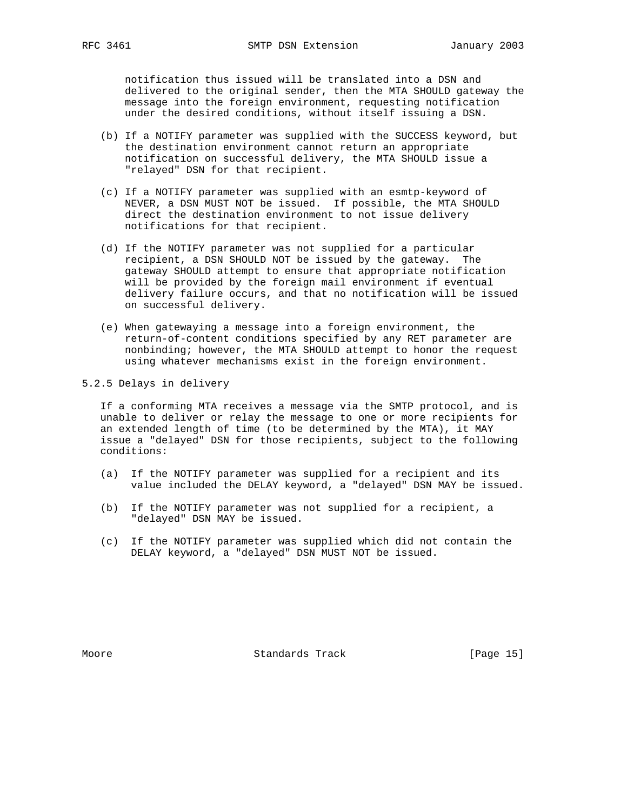notification thus issued will be translated into a DSN and delivered to the original sender, then the MTA SHOULD gateway the message into the foreign environment, requesting notification under the desired conditions, without itself issuing a DSN.

- (b) If a NOTIFY parameter was supplied with the SUCCESS keyword, but the destination environment cannot return an appropriate notification on successful delivery, the MTA SHOULD issue a "relayed" DSN for that recipient.
- (c) If a NOTIFY parameter was supplied with an esmtp-keyword of NEVER, a DSN MUST NOT be issued. If possible, the MTA SHOULD direct the destination environment to not issue delivery notifications for that recipient.
- (d) If the NOTIFY parameter was not supplied for a particular recipient, a DSN SHOULD NOT be issued by the gateway. The gateway SHOULD attempt to ensure that appropriate notification will be provided by the foreign mail environment if eventual delivery failure occurs, and that no notification will be issued on successful delivery.
- (e) When gatewaying a message into a foreign environment, the return-of-content conditions specified by any RET parameter are nonbinding; however, the MTA SHOULD attempt to honor the request using whatever mechanisms exist in the foreign environment.

## 5.2.5 Delays in delivery

 If a conforming MTA receives a message via the SMTP protocol, and is unable to deliver or relay the message to one or more recipients for an extended length of time (to be determined by the MTA), it MAY issue a "delayed" DSN for those recipients, subject to the following conditions:

- (a) If the NOTIFY parameter was supplied for a recipient and its value included the DELAY keyword, a "delayed" DSN MAY be issued.
- (b) If the NOTIFY parameter was not supplied for a recipient, a "delayed" DSN MAY be issued.
- (c) If the NOTIFY parameter was supplied which did not contain the DELAY keyword, a "delayed" DSN MUST NOT be issued.

Moore Standards Track [Page 15]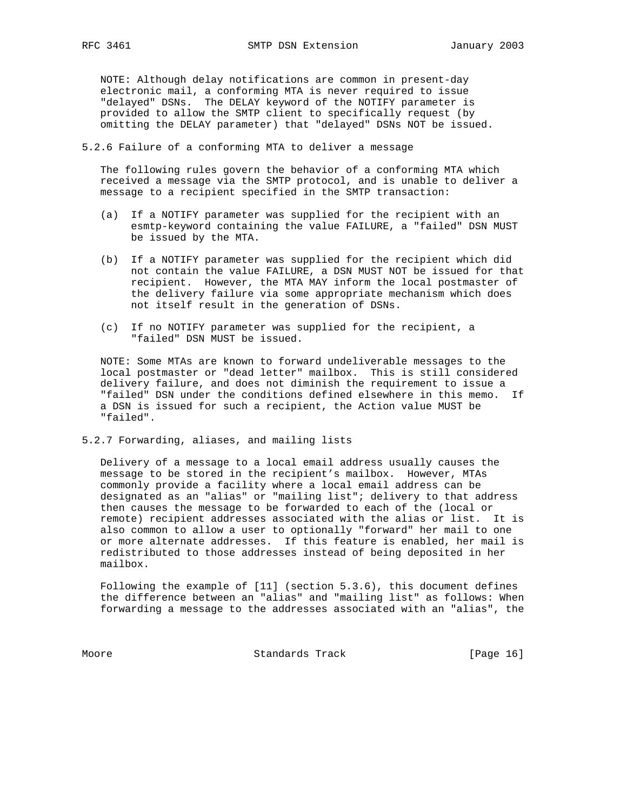NOTE: Although delay notifications are common in present-day electronic mail, a conforming MTA is never required to issue "delayed" DSNs. The DELAY keyword of the NOTIFY parameter is provided to allow the SMTP client to specifically request (by omitting the DELAY parameter) that "delayed" DSNs NOT be issued.

5.2.6 Failure of a conforming MTA to deliver a message

 The following rules govern the behavior of a conforming MTA which received a message via the SMTP protocol, and is unable to deliver a message to a recipient specified in the SMTP transaction:

- (a) If a NOTIFY parameter was supplied for the recipient with an esmtp-keyword containing the value FAILURE, a "failed" DSN MUST be issued by the MTA.
- (b) If a NOTIFY parameter was supplied for the recipient which did not contain the value FAILURE, a DSN MUST NOT be issued for that recipient. However, the MTA MAY inform the local postmaster of the delivery failure via some appropriate mechanism which does not itself result in the generation of DSNs.
- (c) If no NOTIFY parameter was supplied for the recipient, a "failed" DSN MUST be issued.

 NOTE: Some MTAs are known to forward undeliverable messages to the local postmaster or "dead letter" mailbox. This is still considered delivery failure, and does not diminish the requirement to issue a "failed" DSN under the conditions defined elsewhere in this memo. If a DSN is issued for such a recipient, the Action value MUST be "failed".

5.2.7 Forwarding, aliases, and mailing lists

 Delivery of a message to a local email address usually causes the message to be stored in the recipient's mailbox. However, MTAs commonly provide a facility where a local email address can be designated as an "alias" or "mailing list"; delivery to that address then causes the message to be forwarded to each of the (local or remote) recipient addresses associated with the alias or list. It is also common to allow a user to optionally "forward" her mail to one or more alternate addresses. If this feature is enabled, her mail is redistributed to those addresses instead of being deposited in her mailbox.

 Following the example of [11] (section 5.3.6), this document defines the difference between an "alias" and "mailing list" as follows: When forwarding a message to the addresses associated with an "alias", the

Moore Standards Track [Page 16]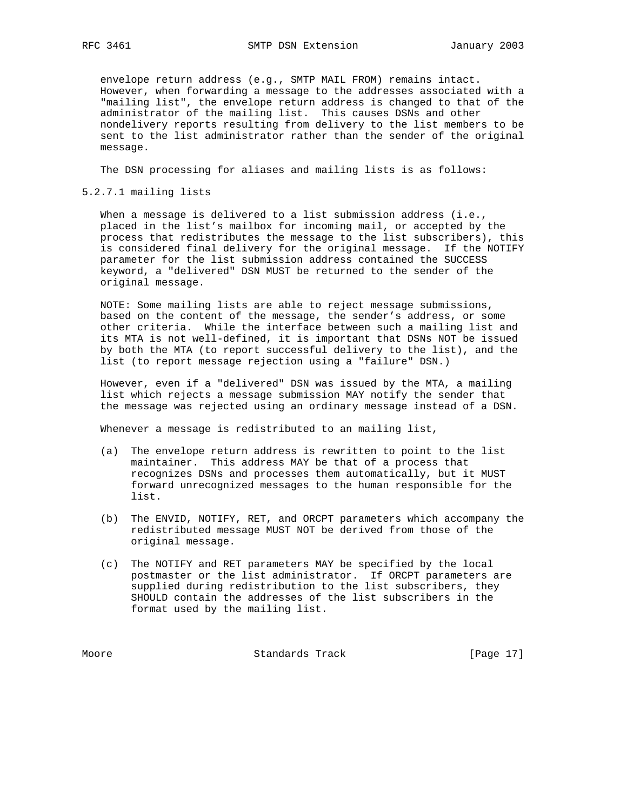envelope return address (e.g., SMTP MAIL FROM) remains intact. However, when forwarding a message to the addresses associated with a "mailing list", the envelope return address is changed to that of the administrator of the mailing list. This causes DSNs and other nondelivery reports resulting from delivery to the list members to be sent to the list administrator rather than the sender of the original message.

The DSN processing for aliases and mailing lists is as follows:

5.2.7.1 mailing lists

When a message is delivered to a list submission address (i.e., placed in the list's mailbox for incoming mail, or accepted by the process that redistributes the message to the list subscribers), this is considered final delivery for the original message. If the NOTIFY parameter for the list submission address contained the SUCCESS keyword, a "delivered" DSN MUST be returned to the sender of the original message.

 NOTE: Some mailing lists are able to reject message submissions, based on the content of the message, the sender's address, or some other criteria. While the interface between such a mailing list and its MTA is not well-defined, it is important that DSNs NOT be issued by both the MTA (to report successful delivery to the list), and the list (to report message rejection using a "failure" DSN.)

 However, even if a "delivered" DSN was issued by the MTA, a mailing list which rejects a message submission MAY notify the sender that the message was rejected using an ordinary message instead of a DSN.

Whenever a message is redistributed to an mailing list,

- (a) The envelope return address is rewritten to point to the list maintainer. This address MAY be that of a process that recognizes DSNs and processes them automatically, but it MUST forward unrecognized messages to the human responsible for the list.
- (b) The ENVID, NOTIFY, RET, and ORCPT parameters which accompany the redistributed message MUST NOT be derived from those of the original message.
- (c) The NOTIFY and RET parameters MAY be specified by the local postmaster or the list administrator. If ORCPT parameters are supplied during redistribution to the list subscribers, they SHOULD contain the addresses of the list subscribers in the format used by the mailing list.

Moore Standards Track [Page 17]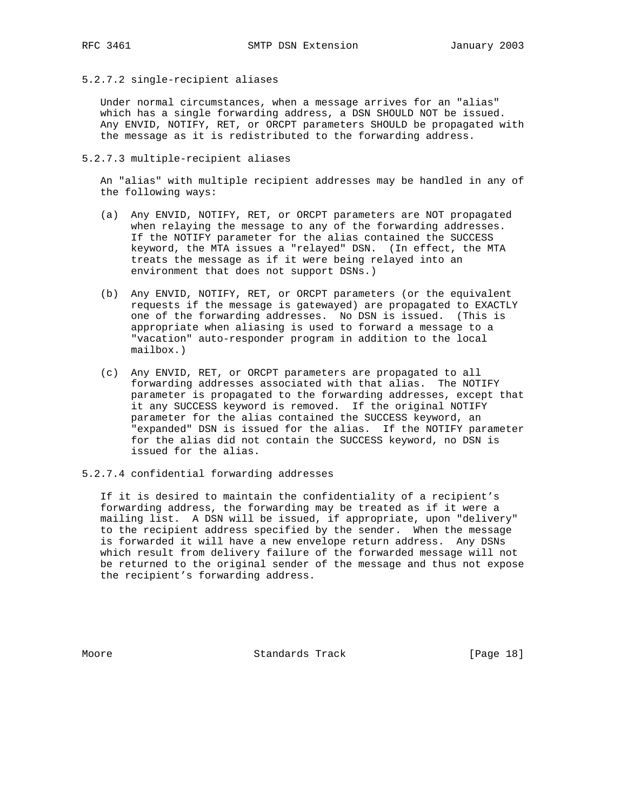5.2.7.2 single-recipient aliases

 Under normal circumstances, when a message arrives for an "alias" which has a single forwarding address, a DSN SHOULD NOT be issued. Any ENVID, NOTIFY, RET, or ORCPT parameters SHOULD be propagated with the message as it is redistributed to the forwarding address.

5.2.7.3 multiple-recipient aliases

 An "alias" with multiple recipient addresses may be handled in any of the following ways:

- (a) Any ENVID, NOTIFY, RET, or ORCPT parameters are NOT propagated when relaying the message to any of the forwarding addresses. If the NOTIFY parameter for the alias contained the SUCCESS keyword, the MTA issues a "relayed" DSN. (In effect, the MTA treats the message as if it were being relayed into an environment that does not support DSNs.)
- (b) Any ENVID, NOTIFY, RET, or ORCPT parameters (or the equivalent requests if the message is gatewayed) are propagated to EXACTLY one of the forwarding addresses. No DSN is issued. (This is appropriate when aliasing is used to forward a message to a "vacation" auto-responder program in addition to the local mailbox.)
- (c) Any ENVID, RET, or ORCPT parameters are propagated to all forwarding addresses associated with that alias. The NOTIFY parameter is propagated to the forwarding addresses, except that it any SUCCESS keyword is removed. If the original NOTIFY parameter for the alias contained the SUCCESS keyword, an "expanded" DSN is issued for the alias. If the NOTIFY parameter for the alias did not contain the SUCCESS keyword, no DSN is issued for the alias.
- 5.2.7.4 confidential forwarding addresses

 If it is desired to maintain the confidentiality of a recipient's forwarding address, the forwarding may be treated as if it were a mailing list. A DSN will be issued, if appropriate, upon "delivery" to the recipient address specified by the sender. When the message is forwarded it will have a new envelope return address. Any DSNs which result from delivery failure of the forwarded message will not be returned to the original sender of the message and thus not expose the recipient's forwarding address.

Moore Standards Track [Page 18]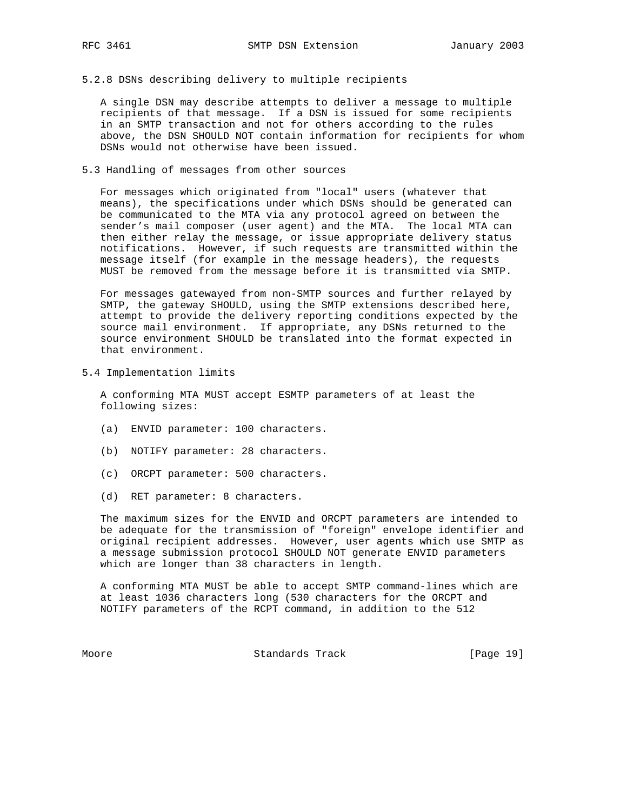5.2.8 DSNs describing delivery to multiple recipients

 A single DSN may describe attempts to deliver a message to multiple recipients of that message. If a DSN is issued for some recipients in an SMTP transaction and not for others according to the rules above, the DSN SHOULD NOT contain information for recipients for whom DSNs would not otherwise have been issued.

5.3 Handling of messages from other sources

 For messages which originated from "local" users (whatever that means), the specifications under which DSNs should be generated can be communicated to the MTA via any protocol agreed on between the sender's mail composer (user agent) and the MTA. The local MTA can then either relay the message, or issue appropriate delivery status notifications. However, if such requests are transmitted within the message itself (for example in the message headers), the requests MUST be removed from the message before it is transmitted via SMTP.

 For messages gatewayed from non-SMTP sources and further relayed by SMTP, the gateway SHOULD, using the SMTP extensions described here, attempt to provide the delivery reporting conditions expected by the source mail environment. If appropriate, any DSNs returned to the source environment SHOULD be translated into the format expected in that environment.

5.4 Implementation limits

 A conforming MTA MUST accept ESMTP parameters of at least the following sizes:

- (a) ENVID parameter: 100 characters.
- (b) NOTIFY parameter: 28 characters.
- (c) ORCPT parameter: 500 characters.
- (d) RET parameter: 8 characters.

 The maximum sizes for the ENVID and ORCPT parameters are intended to be adequate for the transmission of "foreign" envelope identifier and original recipient addresses. However, user agents which use SMTP as a message submission protocol SHOULD NOT generate ENVID parameters which are longer than 38 characters in length.

 A conforming MTA MUST be able to accept SMTP command-lines which are at least 1036 characters long (530 characters for the ORCPT and NOTIFY parameters of the RCPT command, in addition to the 512

Moore Standards Track [Page 19]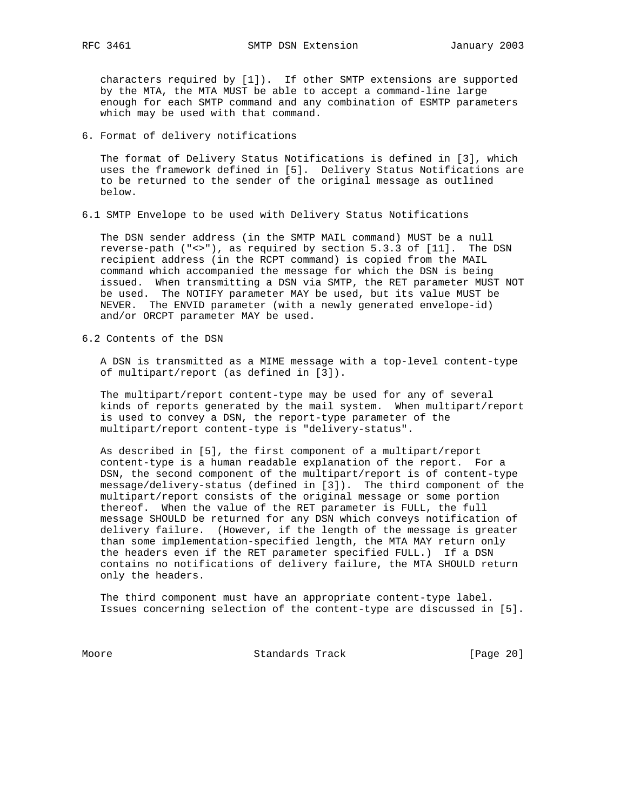characters required by [1]). If other SMTP extensions are supported by the MTA, the MTA MUST be able to accept a command-line large enough for each SMTP command and any combination of ESMTP parameters which may be used with that command.

6. Format of delivery notifications

 The format of Delivery Status Notifications is defined in [3], which uses the framework defined in [5]. Delivery Status Notifications are to be returned to the sender of the original message as outlined below.

6.1 SMTP Envelope to be used with Delivery Status Notifications

 The DSN sender address (in the SMTP MAIL command) MUST be a null reverse-path ("<>"), as required by section 5.3.3 of [11]. The DSN recipient address (in the RCPT command) is copied from the MAIL command which accompanied the message for which the DSN is being issued. When transmitting a DSN via SMTP, the RET parameter MUST NOT be used. The NOTIFY parameter MAY be used, but its value MUST be NEVER. The ENVID parameter (with a newly generated envelope-id) and/or ORCPT parameter MAY be used.

6.2 Contents of the DSN

 A DSN is transmitted as a MIME message with a top-level content-type of multipart/report (as defined in [3]).

 The multipart/report content-type may be used for any of several kinds of reports generated by the mail system. When multipart/report is used to convey a DSN, the report-type parameter of the multipart/report content-type is "delivery-status".

 As described in [5], the first component of a multipart/report content-type is a human readable explanation of the report. For a DSN, the second component of the multipart/report is of content-type message/delivery-status (defined in [3]). The third component of the multipart/report consists of the original message or some portion thereof. When the value of the RET parameter is FULL, the full message SHOULD be returned for any DSN which conveys notification of delivery failure. (However, if the length of the message is greater than some implementation-specified length, the MTA MAY return only the headers even if the RET parameter specified FULL.) If a DSN contains no notifications of delivery failure, the MTA SHOULD return only the headers.

 The third component must have an appropriate content-type label. Issues concerning selection of the content-type are discussed in [5].

Moore Standards Track [Page 20]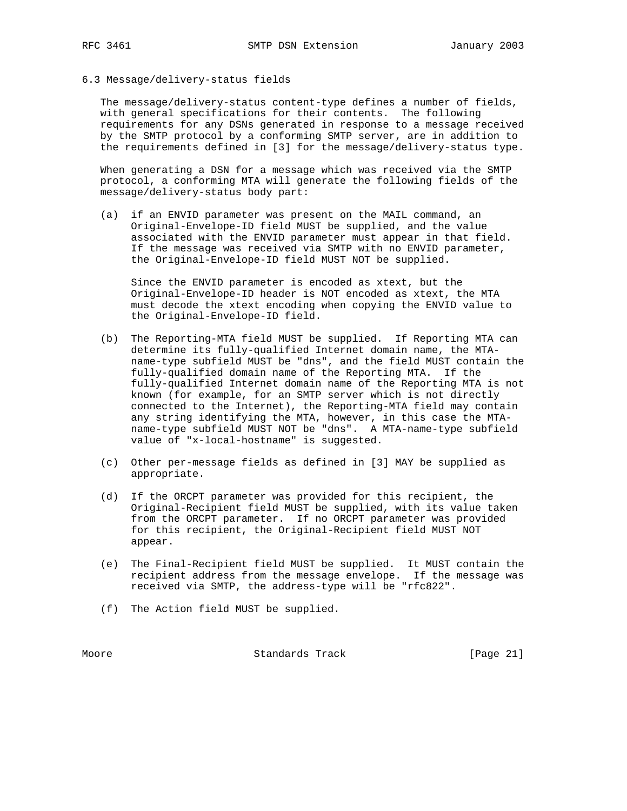6.3 Message/delivery-status fields

 The message/delivery-status content-type defines a number of fields, with general specifications for their contents. The following requirements for any DSNs generated in response to a message received by the SMTP protocol by a conforming SMTP server, are in addition to the requirements defined in [3] for the message/delivery-status type.

 When generating a DSN for a message which was received via the SMTP protocol, a conforming MTA will generate the following fields of the message/delivery-status body part:

 (a) if an ENVID parameter was present on the MAIL command, an Original-Envelope-ID field MUST be supplied, and the value associated with the ENVID parameter must appear in that field. If the message was received via SMTP with no ENVID parameter, the Original-Envelope-ID field MUST NOT be supplied.

 Since the ENVID parameter is encoded as xtext, but the Original-Envelope-ID header is NOT encoded as xtext, the MTA must decode the xtext encoding when copying the ENVID value to the Original-Envelope-ID field.

- (b) The Reporting-MTA field MUST be supplied. If Reporting MTA can determine its fully-qualified Internet domain name, the MTA name-type subfield MUST be "dns", and the field MUST contain the fully-qualified domain name of the Reporting MTA. If the fully-qualified Internet domain name of the Reporting MTA is not known (for example, for an SMTP server which is not directly connected to the Internet), the Reporting-MTA field may contain any string identifying the MTA, however, in this case the MTA name-type subfield MUST NOT be "dns". A MTA-name-type subfield value of "x-local-hostname" is suggested.
- (c) Other per-message fields as defined in [3] MAY be supplied as appropriate.
- (d) If the ORCPT parameter was provided for this recipient, the Original-Recipient field MUST be supplied, with its value taken from the ORCPT parameter. If no ORCPT parameter was provided for this recipient, the Original-Recipient field MUST NOT appear.
- (e) The Final-Recipient field MUST be supplied. It MUST contain the recipient address from the message envelope. If the message was received via SMTP, the address-type will be "rfc822".
- (f) The Action field MUST be supplied.

Moore Standards Track [Page 21]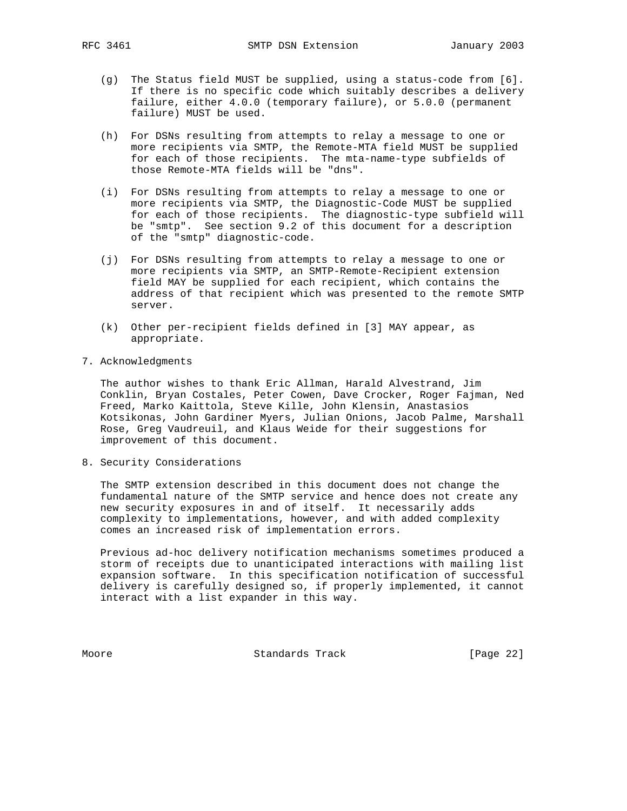- (g) The Status field MUST be supplied, using a status-code from [6]. If there is no specific code which suitably describes a delivery failure, either 4.0.0 (temporary failure), or 5.0.0 (permanent failure) MUST be used.
- (h) For DSNs resulting from attempts to relay a message to one or more recipients via SMTP, the Remote-MTA field MUST be supplied for each of those recipients. The mta-name-type subfields of those Remote-MTA fields will be "dns".
- (i) For DSNs resulting from attempts to relay a message to one or more recipients via SMTP, the Diagnostic-Code MUST be supplied for each of those recipients. The diagnostic-type subfield will be "smtp". See section 9.2 of this document for a description of the "smtp" diagnostic-code.
- (j) For DSNs resulting from attempts to relay a message to one or more recipients via SMTP, an SMTP-Remote-Recipient extension field MAY be supplied for each recipient, which contains the address of that recipient which was presented to the remote SMTP server.
- (k) Other per-recipient fields defined in [3] MAY appear, as appropriate.
- 7. Acknowledgments

 The author wishes to thank Eric Allman, Harald Alvestrand, Jim Conklin, Bryan Costales, Peter Cowen, Dave Crocker, Roger Fajman, Ned Freed, Marko Kaittola, Steve Kille, John Klensin, Anastasios Kotsikonas, John Gardiner Myers, Julian Onions, Jacob Palme, Marshall Rose, Greg Vaudreuil, and Klaus Weide for their suggestions for improvement of this document.

8. Security Considerations

 The SMTP extension described in this document does not change the fundamental nature of the SMTP service and hence does not create any new security exposures in and of itself. It necessarily adds complexity to implementations, however, and with added complexity comes an increased risk of implementation errors.

 Previous ad-hoc delivery notification mechanisms sometimes produced a storm of receipts due to unanticipated interactions with mailing list expansion software. In this specification notification of successful delivery is carefully designed so, if properly implemented, it cannot interact with a list expander in this way.

Moore Standards Track [Page 22]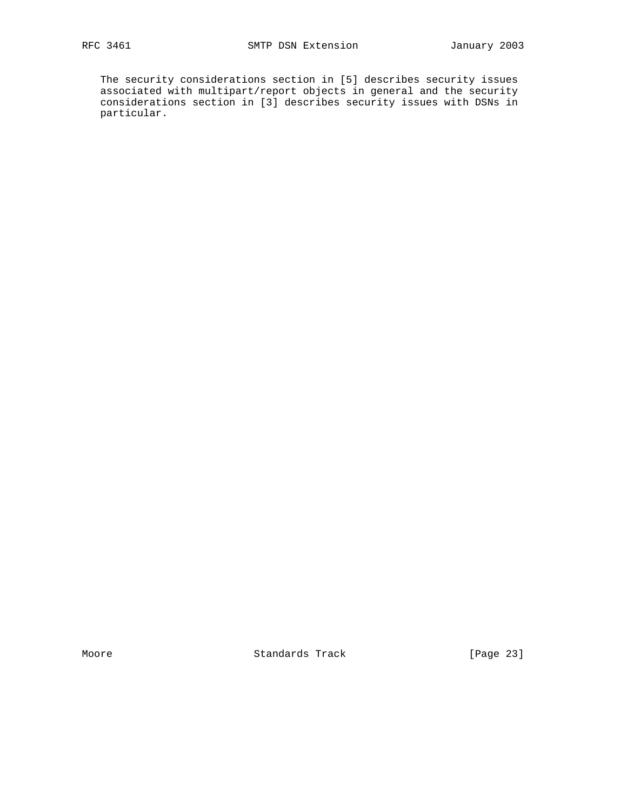The security considerations section in [5] describes security issues associated with multipart/report objects in general and the security considerations section in [3] describes security issues with DSNs in particular.

Moore Standards Track [Page 23]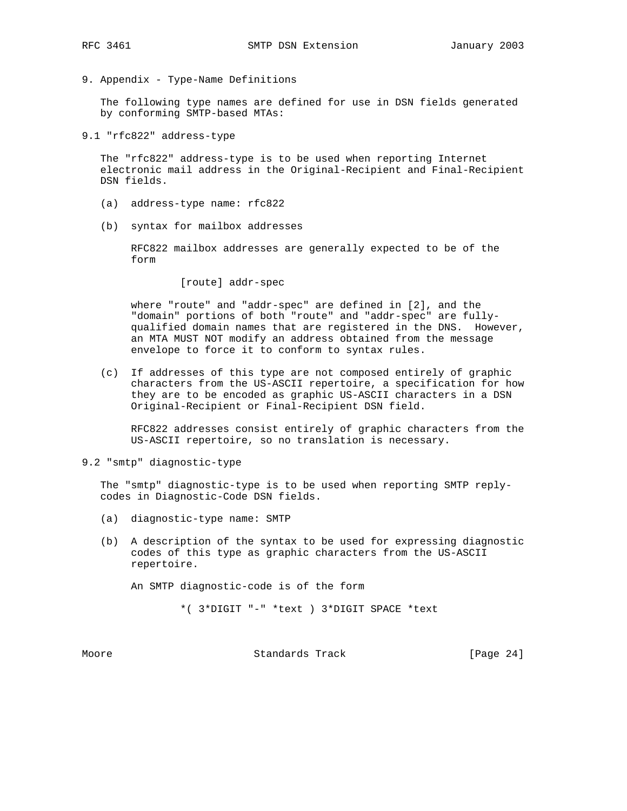9. Appendix - Type-Name Definitions

 The following type names are defined for use in DSN fields generated by conforming SMTP-based MTAs:

9.1 "rfc822" address-type

 The "rfc822" address-type is to be used when reporting Internet electronic mail address in the Original-Recipient and Final-Recipient DSN fields.

- (a) address-type name: rfc822
- (b) syntax for mailbox addresses

 RFC822 mailbox addresses are generally expected to be of the form

[route] addr-spec

 where "route" and "addr-spec" are defined in [2], and the "domain" portions of both "route" and "addr-spec" are fully qualified domain names that are registered in the DNS. However, an MTA MUST NOT modify an address obtained from the message envelope to force it to conform to syntax rules.

 (c) If addresses of this type are not composed entirely of graphic characters from the US-ASCII repertoire, a specification for how they are to be encoded as graphic US-ASCII characters in a DSN Original-Recipient or Final-Recipient DSN field.

 RFC822 addresses consist entirely of graphic characters from the US-ASCII repertoire, so no translation is necessary.

9.2 "smtp" diagnostic-type

 The "smtp" diagnostic-type is to be used when reporting SMTP reply codes in Diagnostic-Code DSN fields.

- (a) diagnostic-type name: SMTP
- (b) A description of the syntax to be used for expressing diagnostic codes of this type as graphic characters from the US-ASCII repertoire.

An SMTP diagnostic-code is of the form

\*( 3\*DIGIT "-" \*text ) 3\*DIGIT SPACE \*text

Moore **Standards Track** [Page 24]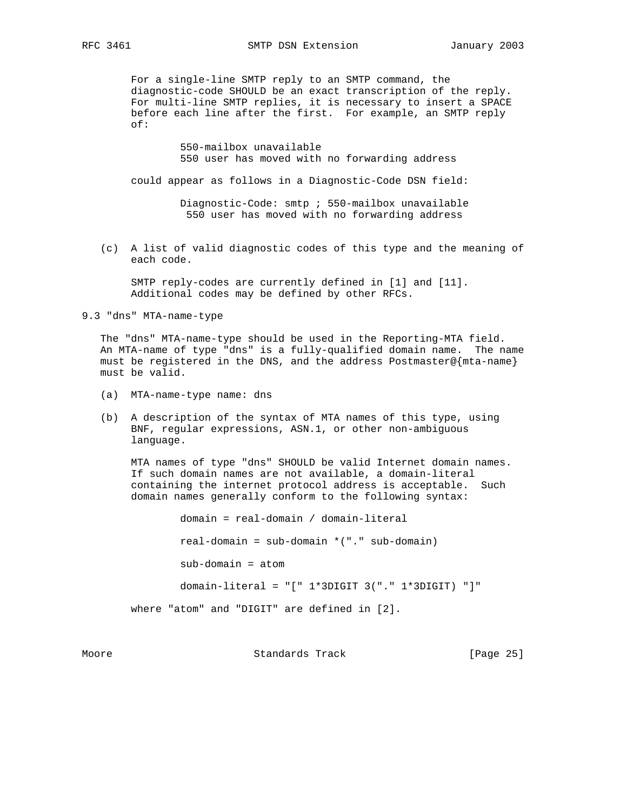For a single-line SMTP reply to an SMTP command, the diagnostic-code SHOULD be an exact transcription of the reply. For multi-line SMTP replies, it is necessary to insert a SPACE before each line after the first. For example, an SMTP reply of:

> 550-mailbox unavailable 550 user has moved with no forwarding address

could appear as follows in a Diagnostic-Code DSN field:

 Diagnostic-Code: smtp ; 550-mailbox unavailable 550 user has moved with no forwarding address

 (c) A list of valid diagnostic codes of this type and the meaning of each code.

 SMTP reply-codes are currently defined in [1] and [11]. Additional codes may be defined by other RFCs.

9.3 "dns" MTA-name-type

 The "dns" MTA-name-type should be used in the Reporting-MTA field. An MTA-name of type "dns" is a fully-qualified domain name. The name must be registered in the DNS, and the address Postmaster@{mta-name} must be valid.

- (a) MTA-name-type name: dns
- (b) A description of the syntax of MTA names of this type, using BNF, regular expressions, ASN.1, or other non-ambiguous language.

 MTA names of type "dns" SHOULD be valid Internet domain names. If such domain names are not available, a domain-literal containing the internet protocol address is acceptable. Such domain names generally conform to the following syntax:

 domain = real-domain / domain-literal real-domain = sub-domain \*("." sub-domain) sub-domain = atom domain-literal = "[" 1\*3DIGIT 3("." 1\*3DIGIT) "]" where "atom" and "DIGIT" are defined in [2].

Moore Standards Track [Page 25]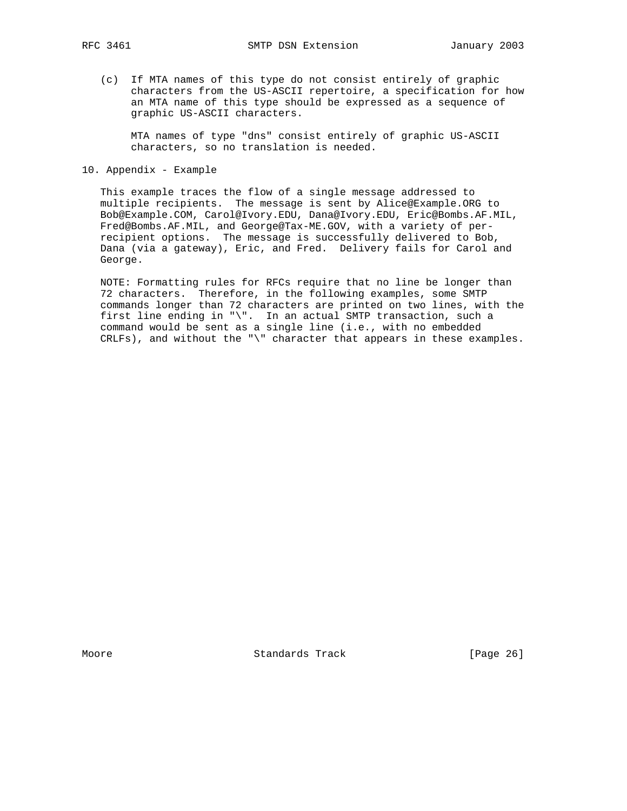(c) If MTA names of this type do not consist entirely of graphic characters from the US-ASCII repertoire, a specification for how an MTA name of this type should be expressed as a sequence of graphic US-ASCII characters.

 MTA names of type "dns" consist entirely of graphic US-ASCII characters, so no translation is needed.

10. Appendix - Example

 This example traces the flow of a single message addressed to multiple recipients. The message is sent by Alice@Example.ORG to Bob@Example.COM, Carol@Ivory.EDU, Dana@Ivory.EDU, Eric@Bombs.AF.MIL, Fred@Bombs.AF.MIL, and George@Tax-ME.GOV, with a variety of per recipient options. The message is successfully delivered to Bob, Dana (via a gateway), Eric, and Fred. Delivery fails for Carol and George.

 NOTE: Formatting rules for RFCs require that no line be longer than 72 characters. Therefore, in the following examples, some SMTP commands longer than 72 characters are printed on two lines, with the first line ending in "\". In an actual SMTP transaction, such a command would be sent as a single line (i.e., with no embedded CRLFs), and without the "\" character that appears in these examples.

Moore Standards Track [Page 26]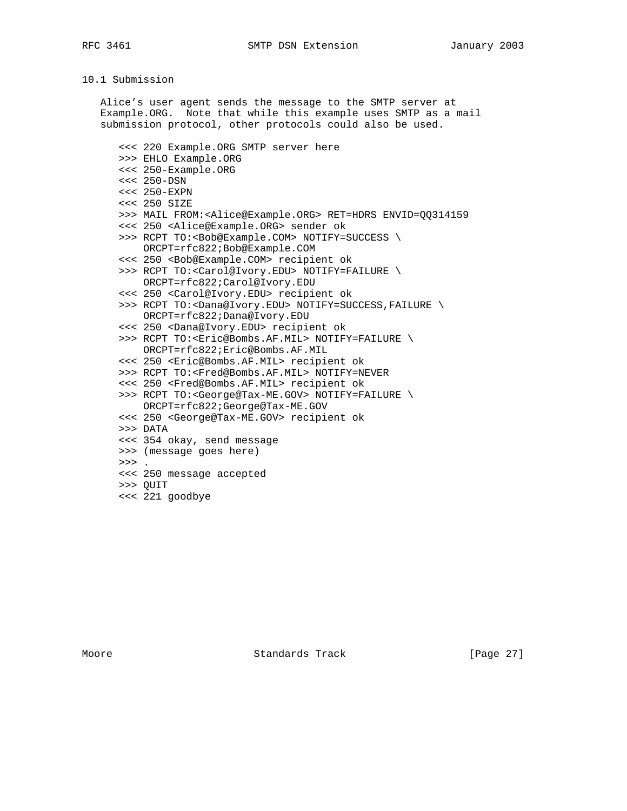RFC 3461 SMTP DSN Extension January 2003

# 10.1 Submission

 Alice's user agent sends the message to the SMTP server at Example.ORG. Note that while this example uses SMTP as a mail submission protocol, other protocols could also be used.

 <<< 220 Example.ORG SMTP server here >>> EHLO Example.ORG <<< 250-Example.ORG <<< 250-DSN <<< 250-EXPN <<< 250 SIZE >>> MAIL FROM:<Alice@Example.ORG> RET=HDRS ENVID=QQ314159 <<< 250 <Alice@Example.ORG> sender ok >>> RCPT TO:<Bob@Example.COM> NOTIFY=SUCCESS \ ORCPT=rfc822;Bob@Example.COM <<< 250 <Bob@Example.COM> recipient ok >>> RCPT TO:<Carol@Ivory.EDU> NOTIFY=FAILURE \ ORCPT=rfc822;Carol@Ivory.EDU <<< 250 <Carol@Ivory.EDU> recipient ok >>> RCPT TO:<Dana@Ivory.EDU> NOTIFY=SUCCESS,FAILURE \ ORCPT=rfc822;Dana@Ivory.EDU <<< 250 <Dana@Ivory.EDU> recipient ok >>> RCPT TO:<Eric@Bombs.AF.MIL> NOTIFY=FAILURE \ ORCPT=rfc822;Eric@Bombs.AF.MIL <<< 250 <Eric@Bombs.AF.MIL> recipient ok >>> RCPT TO:<Fred@Bombs.AF.MIL> NOTIFY=NEVER <<< 250 <Fred@Bombs.AF.MIL> recipient ok >>> RCPT TO:<George@Tax-ME.GOV> NOTIFY=FAILURE \ ORCPT=rfc822;George@Tax-ME.GOV <<< 250 <George@Tax-ME.GOV> recipient ok >>> DATA <<< 354 okay, send message >>> (message goes here)  $>>$ . <<< 250 message accepted >>> QUIT <<< 221 goodbye

Moore Standards Track [Page 27]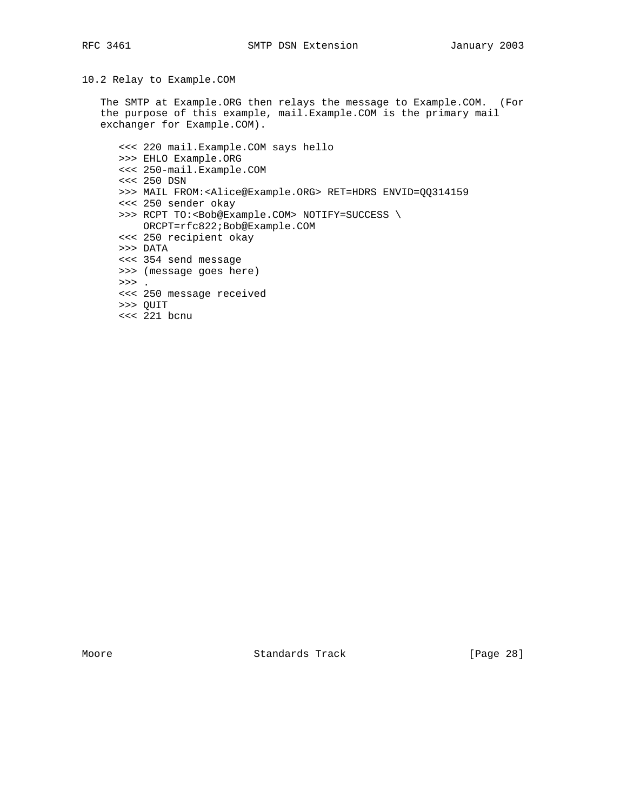10.2 Relay to Example.COM

 The SMTP at Example.ORG then relays the message to Example.COM. (For the purpose of this example, mail.Example.COM is the primary mail exchanger for Example.COM).

 <<< 220 mail.Example.COM says hello >>> EHLO Example.ORG <<< 250-mail.Example.COM <<< 250 DSN >>> MAIL FROM:<Alice@Example.ORG> RET=HDRS ENVID=QQ314159 <<< 250 sender okay >>> RCPT TO:<Bob@Example.COM> NOTIFY=SUCCESS \ ORCPT=rfc822;Bob@Example.COM <<< 250 recipient okay >>> DATA <<< 354 send message >>> (message goes here) >>> . <<< 250 message received >>> QUIT <<< 221 bcnu

Moore Standards Track [Page 28]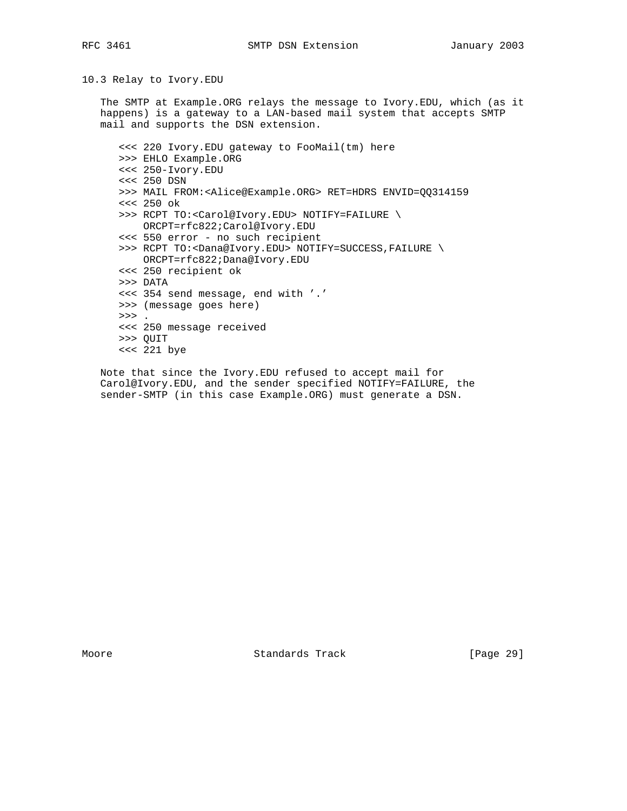10.3 Relay to Ivory.EDU

 The SMTP at Example.ORG relays the message to Ivory.EDU, which (as it happens) is a gateway to a LAN-based mail system that accepts SMTP mail and supports the DSN extension.

 <<< 220 Ivory.EDU gateway to FooMail(tm) here >>> EHLO Example.ORG <<< 250-Ivory.EDU <<< 250 DSN >>> MAIL FROM:<Alice@Example.ORG> RET=HDRS ENVID=QQ314159 <<< 250 ok >>> RCPT TO:<Carol@Ivory.EDU> NOTIFY=FAILURE \ ORCPT=rfc822;Carol@Ivory.EDU <<< 550 error - no such recipient >>> RCPT TO:<Dana@Ivory.EDU> NOTIFY=SUCCESS,FAILURE \ ORCPT=rfc822;Dana@Ivory.EDU <<< 250 recipient ok >>> DATA <<< 354 send message, end with '.' >>> (message goes here)  $>>$  . <<< 250 message received >>> QUIT <<< 221 bye

 Note that since the Ivory.EDU refused to accept mail for Carol@Ivory.EDU, and the sender specified NOTIFY=FAILURE, the sender-SMTP (in this case Example.ORG) must generate a DSN.

Moore Standards Track [Page 29]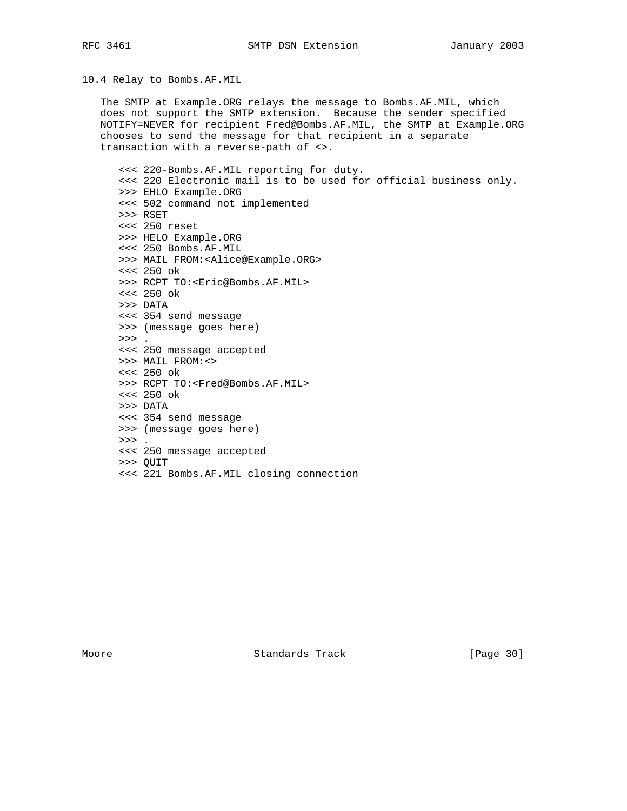RFC 3461 SMTP DSN Extension January 2003

10.4 Relay to Bombs.AF.MIL

 The SMTP at Example.ORG relays the message to Bombs.AF.MIL, which does not support the SMTP extension. Because the sender specified NOTIFY=NEVER for recipient Fred@Bombs.AF.MIL, the SMTP at Example.ORG chooses to send the message for that recipient in a separate transaction with a reverse-path of <>.

 <<< 220-Bombs.AF.MIL reporting for duty. <<< 220 Electronic mail is to be used for official business only. >>> EHLO Example.ORG <<< 502 command not implemented >>> RSET <<< 250 reset >>> HELO Example.ORG <<< 250 Bombs.AF.MIL >>> MAIL FROM:<Alice@Example.ORG> <<< 250 ok >>> RCPT TO:<Eric@Bombs.AF.MIL> <<< 250 ok >>> DATA <<< 354 send message >>> (message goes here)  $>>$  . <<< 250 message accepted >>> MAIL FROM:<> <<< 250 ok >>> RCPT TO:<Fred@Bombs.AF.MIL> <<< 250 ok >>> DATA <<< 354 send message >>> (message goes here)  $\rightarrow$  >  $\rightarrow$  . <<< 250 message accepted >>> QUIT <<< 221 Bombs.AF.MIL closing connection

Moore Standards Track [Page 30]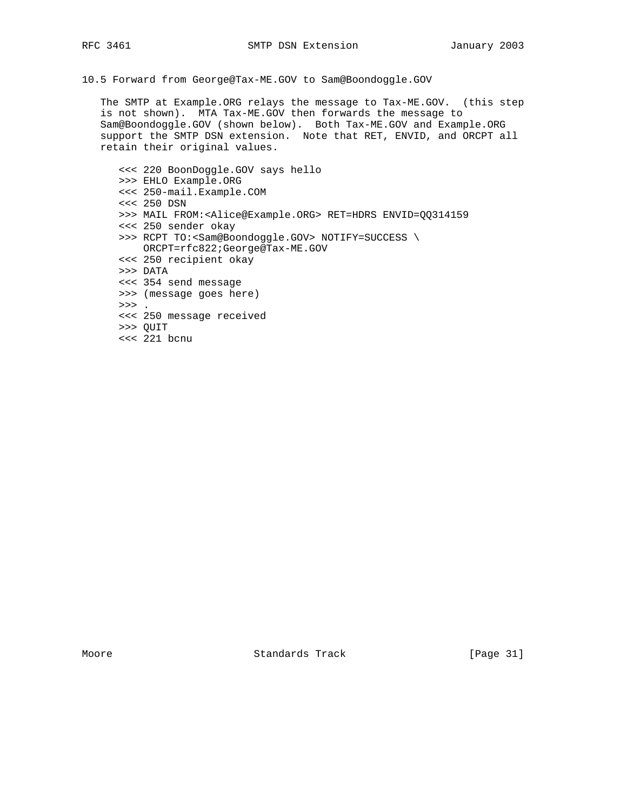10.5 Forward from George@Tax-ME.GOV to Sam@Boondoggle.GOV

 The SMTP at Example.ORG relays the message to Tax-ME.GOV. (this step is not shown). MTA Tax-ME.GOV then forwards the message to Sam@Boondoggle.GOV (shown below). Both Tax-ME.GOV and Example.ORG support the SMTP DSN extension. Note that RET, ENVID, and ORCPT all retain their original values.

 <<< 220 BoonDoggle.GOV says hello >>> EHLO Example.ORG <<< 250-mail.Example.COM <<< 250 DSN >>> MAIL FROM:<Alice@Example.ORG> RET=HDRS ENVID=QQ314159 <<< 250 sender okay >>> RCPT TO:<Sam@Boondoggle.GOV> NOTIFY=SUCCESS \ ORCPT=rfc822;George@Tax-ME.GOV <<< 250 recipient okay >>> DATA <<< 354 send message >>> (message goes here)  $>>$  . <<< 250 message received >>> QUIT <<< 221 bcnu

Moore Standards Track [Page 31]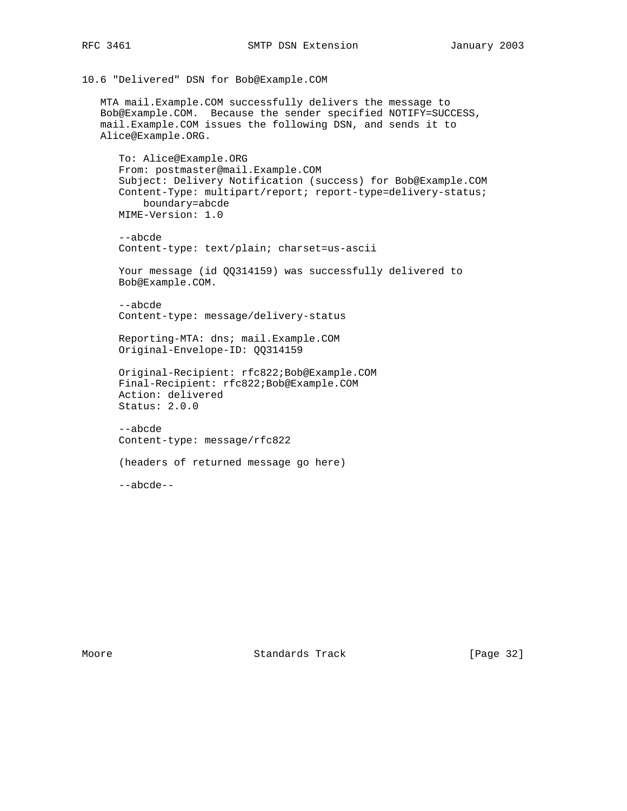```
10.6 "Delivered" DSN for Bob@Example.COM
```
 MTA mail.Example.COM successfully delivers the message to Bob@Example.COM. Because the sender specified NOTIFY=SUCCESS, mail.Example.COM issues the following DSN, and sends it to Alice@Example.ORG.

```
 To: Alice@Example.ORG
From: postmaster@mail.Example.COM
Subject: Delivery Notification (success) for Bob@Example.COM
Content-Type: multipart/report; report-type=delivery-status;
    boundary=abcde
MIME-Version: 1.0
```
 --abcde Content-type: text/plain; charset=us-ascii

Your message (id QQ314159) was successfully delivered to Bob@Example.COM.

```
 --abcde
Content-type: message/delivery-status
```
 Reporting-MTA: dns; mail.Example.COM Original-Envelope-ID: QQ314159

```
 Original-Recipient: rfc822;Bob@Example.COM
Final-Recipient: rfc822;Bob@Example.COM
Action: delivered
Status: 2.0.0
```

```
 --abcde
Content-type: message/rfc822
```

```
 (headers of returned message go here)
```
--abcde--

Moore **Standards Track** [Page 32]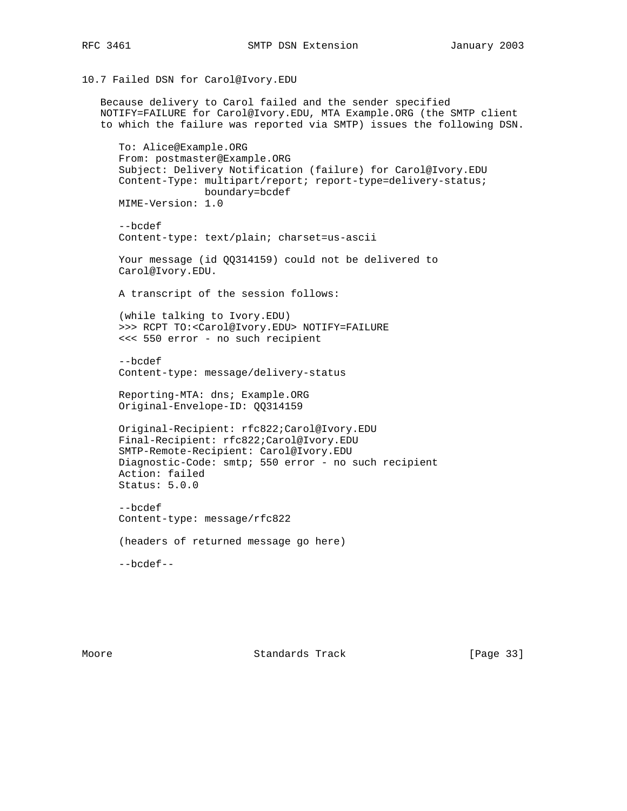```
10.7 Failed DSN for Carol@Ivory.EDU
```
 Because delivery to Carol failed and the sender specified NOTIFY=FAILURE for Carol@Ivory.EDU, MTA Example.ORG (the SMTP client to which the failure was reported via SMTP) issues the following DSN. To: Alice@Example.ORG From: postmaster@Example.ORG Subject: Delivery Notification (failure) for Carol@Ivory.EDU Content-Type: multipart/report; report-type=delivery-status; boundary=bcdef MIME-Version: 1.0 --bcdef Content-type: text/plain; charset=us-ascii Your message (id QQ314159) could not be delivered to Carol@Ivory.EDU. A transcript of the session follows: (while talking to Ivory.EDU) >>> RCPT TO:<Carol@Ivory.EDU> NOTIFY=FAILURE <<< 550 error - no such recipient --bcdef Content-type: message/delivery-status Reporting-MTA: dns; Example.ORG Original-Envelope-ID: QQ314159 Original-Recipient: rfc822;Carol@Ivory.EDU Final-Recipient: rfc822;Carol@Ivory.EDU SMTP-Remote-Recipient: Carol@Ivory.EDU Diagnostic-Code: smtp; 550 error - no such recipient Action: failed Status: 5.0.0 --bcdef Content-type: message/rfc822 (headers of returned message go here) --bcdef--

Moore **Standards Track** [Page 33]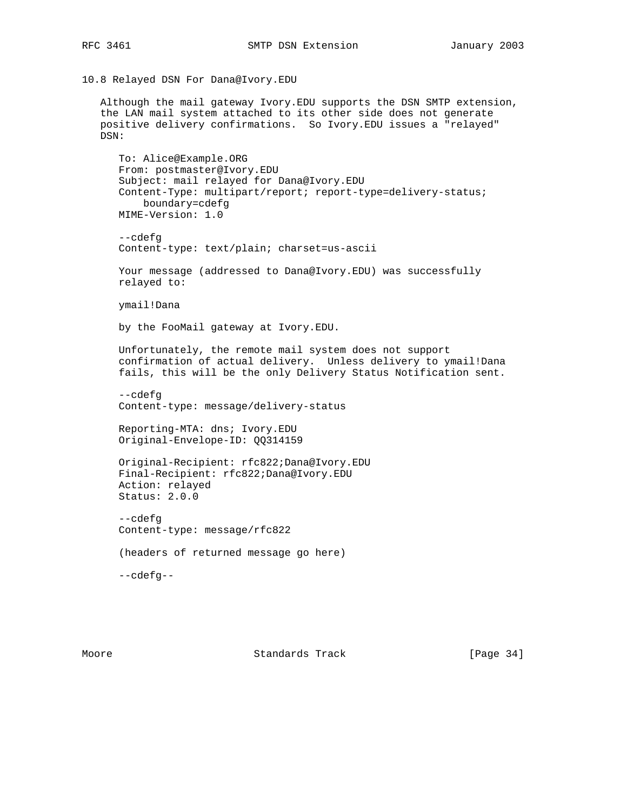10.8 Relayed DSN For Dana@Ivory.EDU

 Although the mail gateway Ivory.EDU supports the DSN SMTP extension, the LAN mail system attached to its other side does not generate positive delivery confirmations. So Ivory.EDU issues a "relayed" DSN:

```
 To: Alice@Example.ORG
From: postmaster@Ivory.EDU
Subject: mail relayed for Dana@Ivory.EDU
Content-Type: multipart/report; report-type=delivery-status;
    boundary=cdefg
MIME-Version: 1.0
```

```
 --cdefg
Content-type: text/plain; charset=us-ascii
```

```
 Your message (addressed to Dana@Ivory.EDU) was successfully
relayed to:
```
ymail!Dana

by the FooMail gateway at Ivory.EDU.

 Unfortunately, the remote mail system does not support confirmation of actual delivery. Unless delivery to ymail!Dana fails, this will be the only Delivery Status Notification sent.

 --cdefg Content-type: message/delivery-status

 Reporting-MTA: dns; Ivory.EDU Original-Envelope-ID: QQ314159

 Original-Recipient: rfc822;Dana@Ivory.EDU Final-Recipient: rfc822;Dana@Ivory.EDU Action: relayed Status: 2.0.0

 --cdefg Content-type: message/rfc822

(headers of returned message go here)

--cdefg--

Moore **Standards Track** [Page 34]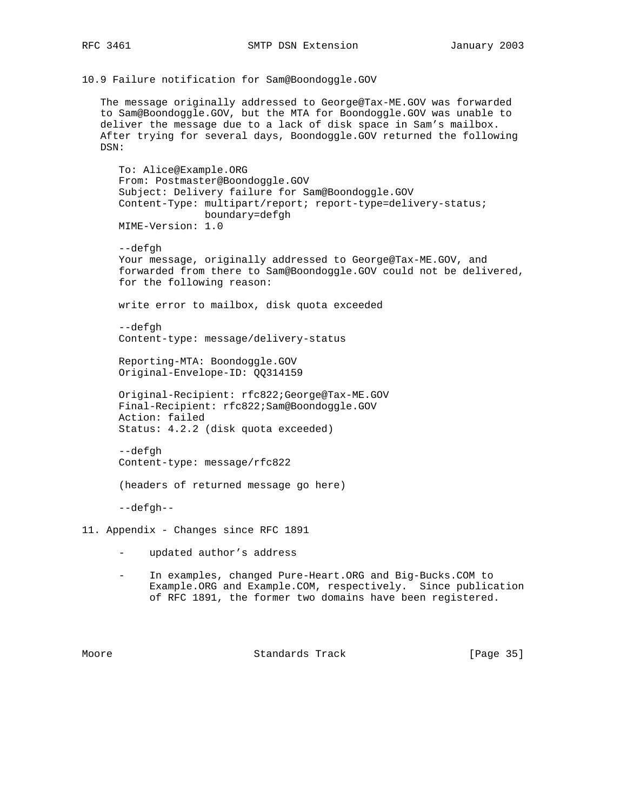10.9 Failure notification for Sam@Boondoggle.GOV

 The message originally addressed to George@Tax-ME.GOV was forwarded to Sam@Boondoggle.GOV, but the MTA for Boondoggle.GOV was unable to deliver the message due to a lack of disk space in Sam's mailbox. After trying for several days, Boondoggle.GOV returned the following DSN:

 To: Alice@Example.ORG From: Postmaster@Boondoggle.GOV Subject: Delivery failure for Sam@Boondoggle.GOV Content-Type: multipart/report; report-type=delivery-status; boundary=defgh MIME-Version: 1.0

 --defgh Your message, originally addressed to George@Tax-ME.GOV, and forwarded from there to Sam@Boondoggle.GOV could not be delivered, for the following reason:

write error to mailbox, disk quota exceeded

 --defgh Content-type: message/delivery-status

 Reporting-MTA: Boondoggle.GOV Original-Envelope-ID: QQ314159

 Original-Recipient: rfc822;George@Tax-ME.GOV Final-Recipient: rfc822;Sam@Boondoggle.GOV Action: failed Status: 4.2.2 (disk quota exceeded)

 --defgh Content-type: message/rfc822

(headers of returned message go here)

--defgh--

- 11. Appendix Changes since RFC 1891
	- updated author's address
	- In examples, changed Pure-Heart.ORG and Big-Bucks.COM to Example.ORG and Example.COM, respectively. Since publication of RFC 1891, the former two domains have been registered.

Moore Standards Track [Page 35]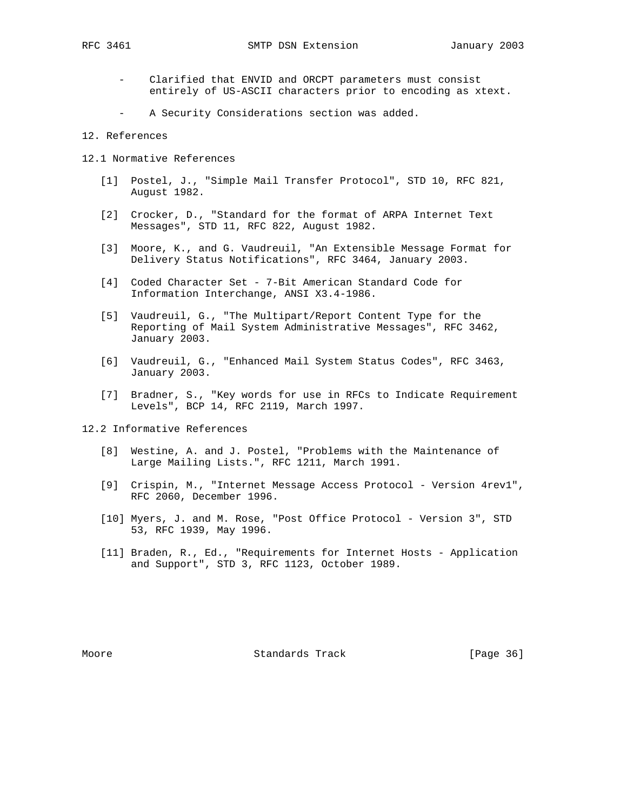- Clarified that ENVID and ORCPT parameters must consist entirely of US-ASCII characters prior to encoding as xtext.
- A Security Considerations section was added.
- 12. References
- 12.1 Normative References
	- [1] Postel, J., "Simple Mail Transfer Protocol", STD 10, RFC 821, August 1982.
	- [2] Crocker, D., "Standard for the format of ARPA Internet Text Messages", STD 11, RFC 822, August 1982.
	- [3] Moore, K., and G. Vaudreuil, "An Extensible Message Format for Delivery Status Notifications", RFC 3464, January 2003.
	- [4] Coded Character Set 7-Bit American Standard Code for Information Interchange, ANSI X3.4-1986.
	- [5] Vaudreuil, G., "The Multipart/Report Content Type for the Reporting of Mail System Administrative Messages", RFC 3462, January 2003.
	- [6] Vaudreuil, G., "Enhanced Mail System Status Codes", RFC 3463, January 2003.
	- [7] Bradner, S., "Key words for use in RFCs to Indicate Requirement Levels", BCP 14, RFC 2119, March 1997.

12.2 Informative References

- [8] Westine, A. and J. Postel, "Problems with the Maintenance of Large Mailing Lists.", RFC 1211, March 1991.
- [9] Crispin, M., "Internet Message Access Protocol Version 4rev1", RFC 2060, December 1996.
- [10] Myers, J. and M. Rose, "Post Office Protocol Version 3", STD 53, RFC 1939, May 1996.
- [11] Braden, R., Ed., "Requirements for Internet Hosts Application and Support", STD 3, RFC 1123, October 1989.

Moore **Standards Track** [Page 36]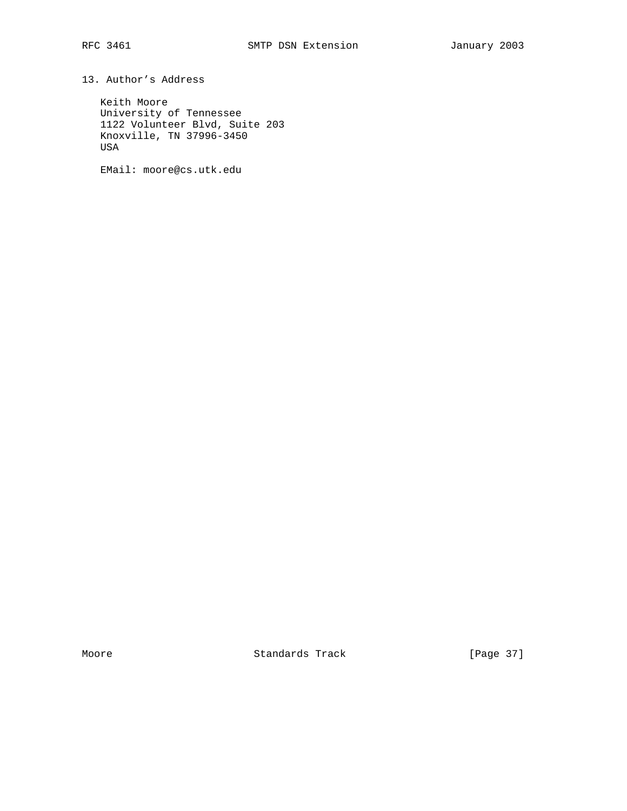13. Author's Address

 Keith Moore University of Tennessee 1122 Volunteer Blvd, Suite 203 Knoxville, TN 37996-3450 USA

EMail: moore@cs.utk.edu

Moore Standards Track [Page 37]